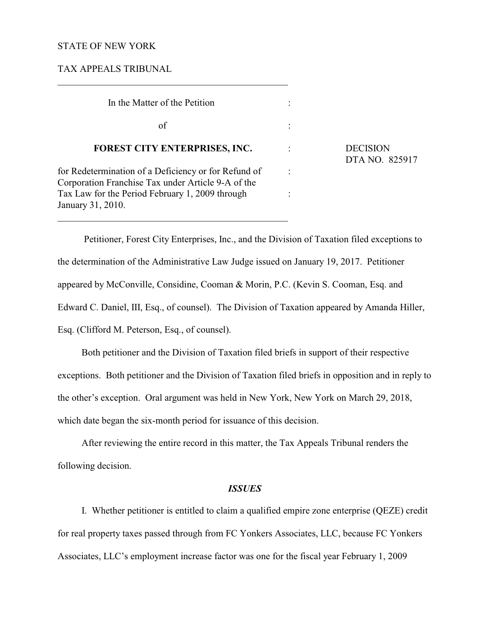## STATE OF NEW YORK

TAX APPEALS TRIBUNAL

| In the Matter of the Petition                                                                              |                            |
|------------------------------------------------------------------------------------------------------------|----------------------------|
| of                                                                                                         |                            |
| FOREST CITY ENTERPRISES, INC.                                                                              | <b>DECISION</b><br>DTA NO. |
| for Redetermination of a Deficiency or for Refund of<br>Corporation Franchise Tax under Article 9-A of the |                            |
| Tax Law for the Period February 1, 2009 through<br>January 31, 2010.                                       |                            |

 $\mathcal{L}_\mathcal{L} = \{ \mathcal{L}_\mathcal{L} = \{ \mathcal{L}_\mathcal{L} = \{ \mathcal{L}_\mathcal{L} = \{ \mathcal{L}_\mathcal{L} = \{ \mathcal{L}_\mathcal{L} = \{ \mathcal{L}_\mathcal{L} = \{ \mathcal{L}_\mathcal{L} = \{ \mathcal{L}_\mathcal{L} = \{ \mathcal{L}_\mathcal{L} = \{ \mathcal{L}_\mathcal{L} = \{ \mathcal{L}_\mathcal{L} = \{ \mathcal{L}_\mathcal{L} = \{ \mathcal{L}_\mathcal{L} = \{ \mathcal{L}_\mathcal{$ 

DTA NO. 825917

 Petitioner, Forest City Enterprises, Inc., and the Division of Taxation filed exceptions to the determination of the Administrative Law Judge issued on January 19, 2017. Petitioner appeared by McConville, Considine, Cooman & Morin, P.C. (Kevin S. Cooman, Esq. and Edward C. Daniel, III, Esq., of counsel). The Division of Taxation appeared by Amanda Hiller, Esq. (Clifford M. Peterson, Esq., of counsel).

Both petitioner and the Division of Taxation filed briefs in support of their respective exceptions. Both petitioner and the Division of Taxation filed briefs in opposition and in reply to the other's exception. Oral argument was held in New York, New York on March 29, 2018, which date began the six-month period for issuance of this decision.

After reviewing the entire record in this matter, the Tax Appeals Tribunal renders the following decision.

### *ISSUES*

I. Whether petitioner is entitled to claim a qualified empire zone enterprise (QEZE) credit for real property taxes passed through from FC Yonkers Associates, LLC, because FC Yonkers Associates, LLC's employment increase factor was one for the fiscal year February 1, 2009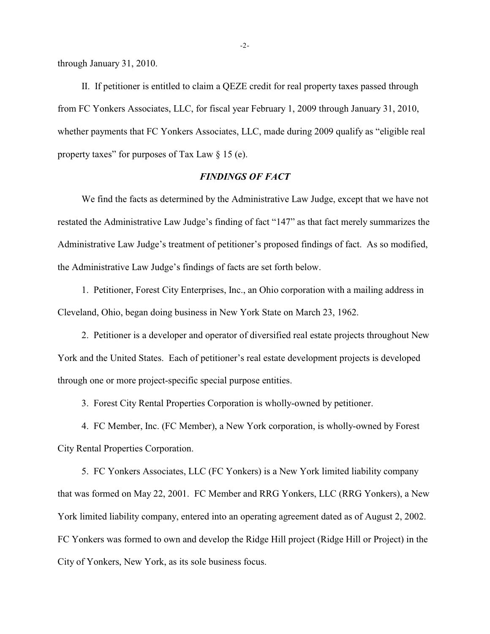through January 31, 2010.

II. If petitioner is entitled to claim a QEZE credit for real property taxes passed through from FC Yonkers Associates, LLC, for fiscal year February 1, 2009 through January 31, 2010, whether payments that FC Yonkers Associates, LLC, made during 2009 qualify as "eligible real property taxes" for purposes of Tax Law  $\S$  15 (e).

# *FINDINGS OF FACT*

We find the facts as determined by the Administrative Law Judge, except that we have not restated the Administrative Law Judge's finding of fact "147" as that fact merely summarizes the Administrative Law Judge's treatment of petitioner's proposed findings of fact. As so modified, the Administrative Law Judge's findings of facts are set forth below.

1. Petitioner, Forest City Enterprises, Inc., an Ohio corporation with a mailing address in Cleveland, Ohio, began doing business in New York State on March 23, 1962.

2. Petitioner is a developer and operator of diversified real estate projects throughout New York and the United States. Each of petitioner's real estate development projects is developed through one or more project-specific special purpose entities.

3. Forest City Rental Properties Corporation is wholly-owned by petitioner.

4. FC Member, Inc. (FC Member), a New York corporation, is wholly-owned by Forest City Rental Properties Corporation.

5. FC Yonkers Associates, LLC (FC Yonkers) is a New York limited liability company that was formed on May 22, 2001. FC Member and RRG Yonkers, LLC (RRG Yonkers), a New York limited liability company, entered into an operating agreement dated as of August 2, 2002. FC Yonkers was formed to own and develop the Ridge Hill project (Ridge Hill or Project) in the City of Yonkers, New York, as its sole business focus.

-2-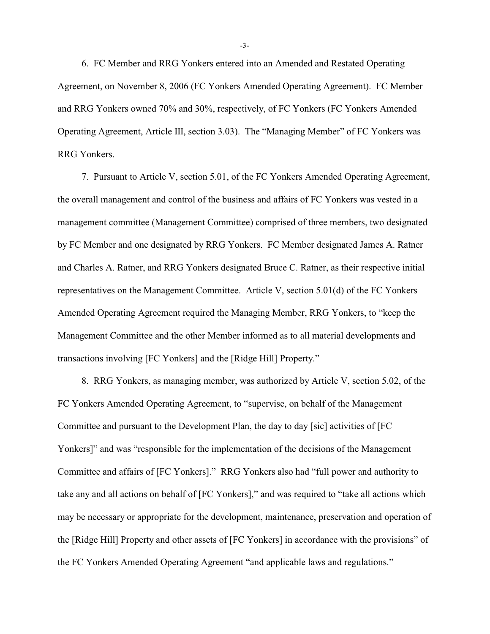6. FC Member and RRG Yonkers entered into an Amended and Restated Operating Agreement, on November 8, 2006 (FC Yonkers Amended Operating Agreement). FC Member and RRG Yonkers owned 70% and 30%, respectively, of FC Yonkers (FC Yonkers Amended Operating Agreement, Article III, section 3.03). The "Managing Member" of FC Yonkers was RRG Yonkers.

7. Pursuant to Article V, section 5.01, of the FC Yonkers Amended Operating Agreement, the overall management and control of the business and affairs of FC Yonkers was vested in a management committee (Management Committee) comprised of three members, two designated by FC Member and one designated by RRG Yonkers. FC Member designated James A. Ratner and Charles A. Ratner, and RRG Yonkers designated Bruce C. Ratner, as their respective initial representatives on the Management Committee. Article V, section 5.01(d) of the FC Yonkers Amended Operating Agreement required the Managing Member, RRG Yonkers, to "keep the Management Committee and the other Member informed as to all material developments and transactions involving [FC Yonkers] and the [Ridge Hill] Property."

8. RRG Yonkers, as managing member, was authorized by Article V, section 5.02, of the FC Yonkers Amended Operating Agreement, to "supervise, on behalf of the Management Committee and pursuant to the Development Plan, the day to day [sic] activities of [FC Yonkers]" and was "responsible for the implementation of the decisions of the Management Committee and affairs of [FC Yonkers]." RRG Yonkers also had "full power and authority to take any and all actions on behalf of [FC Yonkers]," and was required to "take all actions which may be necessary or appropriate for the development, maintenance, preservation and operation of the [Ridge Hill] Property and other assets of [FC Yonkers] in accordance with the provisions" of the FC Yonkers Amended Operating Agreement "and applicable laws and regulations."

-3-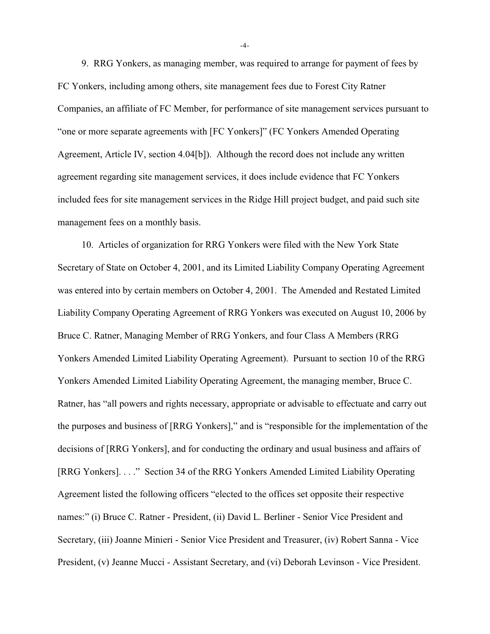9. RRG Yonkers, as managing member, was required to arrange for payment of fees by FC Yonkers, including among others, site management fees due to Forest City Ratner Companies, an affiliate of FC Member, for performance of site management services pursuant to "one or more separate agreements with [FC Yonkers]" (FC Yonkers Amended Operating Agreement, Article IV, section 4.04[b]). Although the record does not include any written agreement regarding site management services, it does include evidence that FC Yonkers included fees for site management services in the Ridge Hill project budget, and paid such site management fees on a monthly basis.

10. Articles of organization for RRG Yonkers were filed with the New York State Secretary of State on October 4, 2001, and its Limited Liability Company Operating Agreement was entered into by certain members on October 4, 2001. The Amended and Restated Limited Liability Company Operating Agreement of RRG Yonkers was executed on August 10, 2006 by Bruce C. Ratner, Managing Member of RRG Yonkers, and four Class A Members (RRG Yonkers Amended Limited Liability Operating Agreement). Pursuant to section 10 of the RRG Yonkers Amended Limited Liability Operating Agreement, the managing member, Bruce C. Ratner, has "all powers and rights necessary, appropriate or advisable to effectuate and carry out the purposes and business of [RRG Yonkers]," and is "responsible for the implementation of the decisions of [RRG Yonkers], and for conducting the ordinary and usual business and affairs of [RRG Yonkers]. . . ." Section 34 of the RRG Yonkers Amended Limited Liability Operating Agreement listed the following officers "elected to the offices set opposite their respective names:" (i) Bruce C. Ratner - President, (ii) David L. Berliner - Senior Vice President and Secretary, (iii) Joanne Minieri - Senior Vice President and Treasurer, (iv) Robert Sanna - Vice President, (v) Jeanne Mucci - Assistant Secretary, and (vi) Deborah Levinson - Vice President.

-4-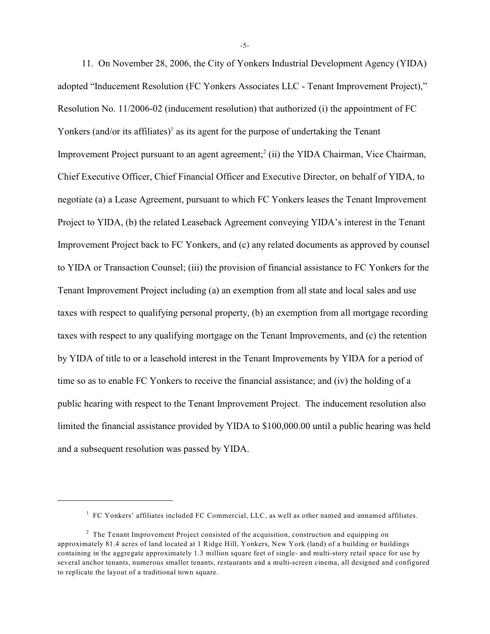11. On November 28, 2006, the City of Yonkers Industrial Development Agency (YIDA) adopted "Inducement Resolution (FC Yonkers Associates LLC - Tenant Improvement Project)," Resolution No. 11/2006-02 (inducement resolution) that authorized (i) the appointment of FC Yonkers (and/or its affiliates)<sup>1</sup> as its agent for the purpose of undertaking the Tenant Improvement Project pursuant to an agent agreement;<sup>2</sup> (ii) the YIDA Chairman, Vice Chairman, Chief Executive Officer, Chief Financial Officer and Executive Director, on behalf of YIDA, to negotiate (a) a Lease Agreement, pursuant to which FC Yonkers leases the Tenant Improvement Project to YIDA, (b) the related Leaseback Agreement conveying YIDA's interest in the Tenant Improvement Project back to FC Yonkers, and (c) any related documents as approved by counsel to YIDA or Transaction Counsel; (iii) the provision of financial assistance to FC Yonkers for the Tenant Improvement Project including (a) an exemption from all state and local sales and use taxes with respect to qualifying personal property, (b) an exemption from all mortgage recording taxes with respect to any qualifying mortgage on the Tenant Improvements, and (c) the retention by YIDA of title to or a leasehold interest in the Tenant Improvements by YIDA for a period of time so as to enable FC Yonkers to receive the financial assistance; and (iv) the holding of a public hearing with respect to the Tenant Improvement Project. The inducement resolution also limited the financial assistance provided by YIDA to \$100,000.00 until a public hearing was held and a subsequent resolution was passed by YIDA.

<sup>&</sup>lt;sup>1</sup> FC Yonkers' affiliates included FC Commercial, LLC, as well as other named and unnamed affiliates.

 $<sup>2</sup>$  The Tenant Improvement Project consisted of the acquisition, construction and equipping on</sup> approximately 81.4 acres of land located at 1 Ridge Hill, Yonkers, New York (land) of a building or buildings containing in the aggregate approximately 1.3 million square feet of single- and multi-story retail space for use by several anchor tenants, numerous smaller tenants, restaurants and a multi-screen cinema, all designed and configured to replicate the layout of a traditional town square.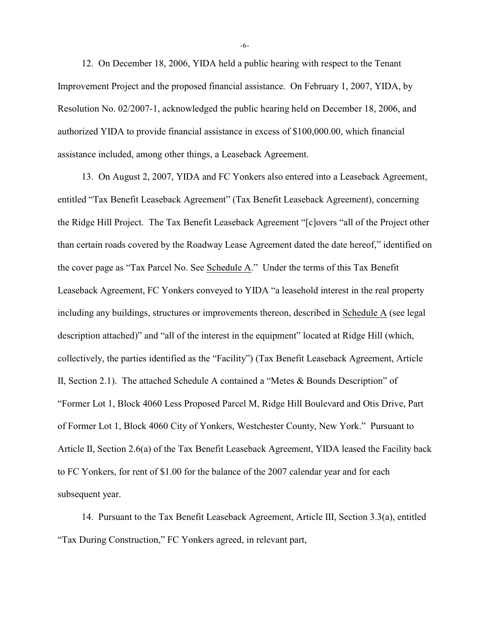12. On December 18, 2006, YIDA held a public hearing with respect to the Tenant Improvement Project and the proposed financial assistance. On February 1, 2007, YIDA, by Resolution No. 02/2007-1, acknowledged the public hearing held on December 18, 2006, and authorized YIDA to provide financial assistance in excess of \$100,000.00, which financial assistance included, among other things, a Leaseback Agreement.

13. On August 2, 2007, YIDA and FC Yonkers also entered into a Leaseback Agreement, entitled "Tax Benefit Leaseback Agreement" (Tax Benefit Leaseback Agreement), concerning the Ridge Hill Project. The Tax Benefit Leaseback Agreement "[c]overs "all of the Project other than certain roads covered by the Roadway Lease Agreement dated the date hereof," identified on the cover page as "Tax Parcel No. See Schedule A." Under the terms of this Tax Benefit Leaseback Agreement, FC Yonkers conveyed to YIDA "a leasehold interest in the real property including any buildings, structures or improvements thereon, described in Schedule A (see legal description attached)" and "all of the interest in the equipment" located at Ridge Hill (which, collectively, the parties identified as the "Facility") (Tax Benefit Leaseback Agreement, Article II, Section 2.1). The attached Schedule A contained a "Metes & Bounds Description" of "Former Lot 1, Block 4060 Less Proposed Parcel M, Ridge Hill Boulevard and Otis Drive, Part of Former Lot 1, Block 4060 City of Yonkers, Westchester County, New York." Pursuant to Article II, Section 2.6(a) of the Tax Benefit Leaseback Agreement, YIDA leased the Facility back to FC Yonkers, for rent of \$1.00 for the balance of the 2007 calendar year and for each subsequent year.

14. Pursuant to the Tax Benefit Leaseback Agreement, Article III, Section 3.3(a), entitled "Tax During Construction," FC Yonkers agreed, in relevant part,

-6-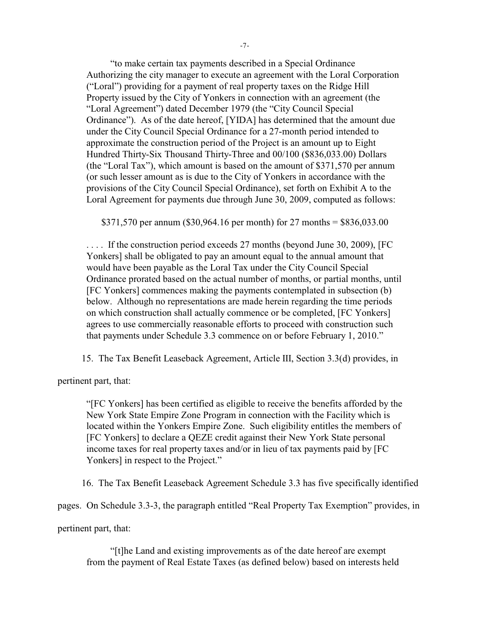"to make certain tax payments described in a Special Ordinance Authorizing the city manager to execute an agreement with the Loral Corporation ("Loral") providing for a payment of real property taxes on the Ridge Hill Property issued by the City of Yonkers in connection with an agreement (the "Loral Agreement") dated December 1979 (the "City Council Special Ordinance"). As of the date hereof, [YIDA] has determined that the amount due under the City Council Special Ordinance for a 27-month period intended to approximate the construction period of the Project is an amount up to Eight Hundred Thirty-Six Thousand Thirty-Three and 00/100 (\$836,033.00) Dollars (the "Loral Tax"), which amount is based on the amount of \$371,570 per annum (or such lesser amount as is due to the City of Yonkers in accordance with the provisions of the City Council Special Ordinance), set forth on Exhibit A to the Loral Agreement for payments due through June 30, 2009, computed as follows:

\$371,570 per annum (\$30,964.16 per month) for 27 months = \$836,033.00

. . . . If the construction period exceeds 27 months (beyond June 30, 2009), [FC Yonkers] shall be obligated to pay an amount equal to the annual amount that would have been payable as the Loral Tax under the City Council Special Ordinance prorated based on the actual number of months, or partial months, until [FC Yonkers] commences making the payments contemplated in subsection (b) below. Although no representations are made herein regarding the time periods on which construction shall actually commence or be completed, [FC Yonkers] agrees to use commercially reasonable efforts to proceed with construction such that payments under Schedule 3.3 commence on or before February 1, 2010."

15. The Tax Benefit Leaseback Agreement, Article III, Section 3.3(d) provides, in

pertinent part, that:

"[FC Yonkers] has been certified as eligible to receive the benefits afforded by the New York State Empire Zone Program in connection with the Facility which is located within the Yonkers Empire Zone. Such eligibility entitles the members of [FC Yonkers] to declare a QEZE credit against their New York State personal income taxes for real property taxes and/or in lieu of tax payments paid by [FC Yonkers] in respect to the Project."

16. The Tax Benefit Leaseback Agreement Schedule 3.3 has five specifically identified

pages. On Schedule 3.3-3, the paragraph entitled "Real Property Tax Exemption" provides, in

pertinent part, that:

"[t]he Land and existing improvements as of the date hereof are exempt from the payment of Real Estate Taxes (as defined below) based on interests held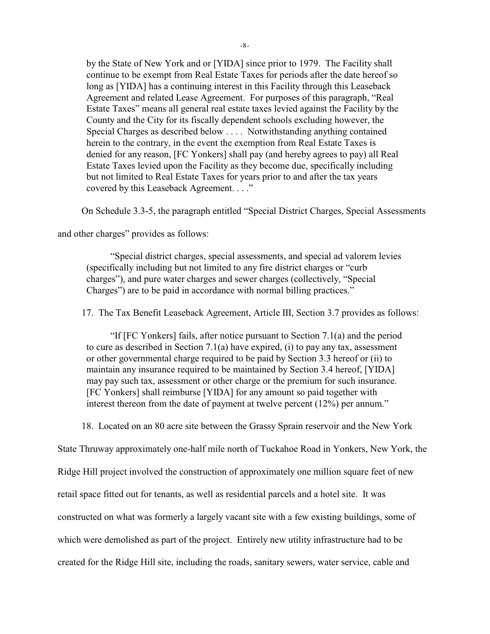by the State of New York and or [YIDA] since prior to 1979. The Facility shall continue to be exempt from Real Estate Taxes for periods after the date hereof so long as [YIDA] has a continuing interest in this Facility through this Leaseback Agreement and related Lease Agreement. For purposes of this paragraph, "Real Estate Taxes" means all general real estate taxes levied against the Facility by the County and the City for its fiscally dependent schools excluding however, the Special Charges as described below . . . . Notwithstanding anything contained herein to the contrary, in the event the exemption from Real Estate Taxes is denied for any reason, [FC Yonkers] shall pay (and hereby agrees to pay) all Real Estate Taxes levied upon the Facility as they become due, specifically including but not limited to Real Estate Taxes for years prior to and after the tax years covered by this Leaseback Agreement. . . ."

On Schedule 3.3-5, the paragraph entitled "Special District Charges, Special Assessments

and other charges" provides as follows:

"Special district charges, special assessments, and special ad valorem levies (specifically including but not limited to any fire district charges or "curb charges"), and pure water charges and sewer charges (collectively, "Special Charges") are to be paid in accordance with normal billing practices."

17. The Tax Benefit Leaseback Agreement, Article III, Section 3.7 provides as follows:

"If [FC Yonkers] fails, after notice pursuant to Section 7.1(a) and the period to cure as described in Section 7.1(a) have expired, (i) to pay any tax, assessment or other governmental charge required to be paid by Section 3.3 hereof or (ii) to maintain any insurance required to be maintained by Section 3.4 hereof, [YIDA] may pay such tax, assessment or other charge or the premium for such insurance. [FC Yonkers] shall reimburse [YIDA] for any amount so paid together with interest thereon from the date of payment at twelve percent (12%) per annum."

18. Located on an 80 acre site between the Grassy Sprain reservoir and the New York

State Thruway approximately one-half mile north of Tuckahoe Road in Yonkers, New York, the Ridge Hill project involved the construction of approximately one million square feet of new retail space fitted out for tenants, as well as residential parcels and a hotel site. It was constructed on what was formerly a largely vacant site with a few existing buildings, some of which were demolished as part of the project. Entirely new utility infrastructure had to be created for the Ridge Hill site, including the roads, sanitary sewers, water service, cable and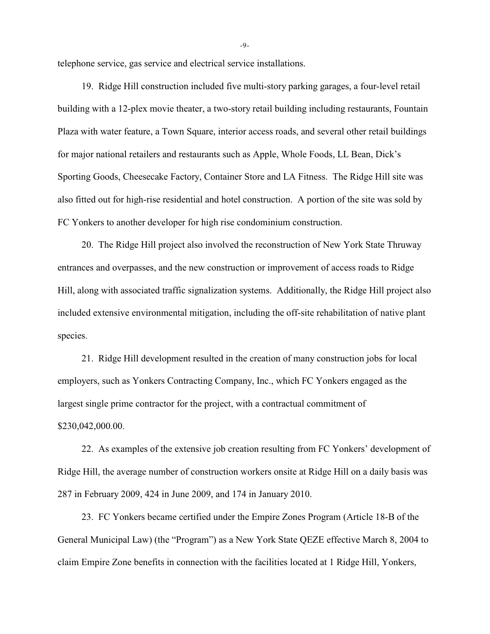telephone service, gas service and electrical service installations.

19. Ridge Hill construction included five multi-story parking garages, a four-level retail building with a 12-plex movie theater, a two-story retail building including restaurants, Fountain Plaza with water feature, a Town Square, interior access roads, and several other retail buildings for major national retailers and restaurants such as Apple, Whole Foods, LL Bean, Dick's Sporting Goods, Cheesecake Factory, Container Store and LA Fitness. The Ridge Hill site was also fitted out for high-rise residential and hotel construction. A portion of the site was sold by FC Yonkers to another developer for high rise condominium construction.

20. The Ridge Hill project also involved the reconstruction of New York State Thruway entrances and overpasses, and the new construction or improvement of access roads to Ridge Hill, along with associated traffic signalization systems. Additionally, the Ridge Hill project also included extensive environmental mitigation, including the off-site rehabilitation of native plant species.

21. Ridge Hill development resulted in the creation of many construction jobs for local employers, such as Yonkers Contracting Company, Inc., which FC Yonkers engaged as the largest single prime contractor for the project, with a contractual commitment of \$230,042,000.00.

22. As examples of the extensive job creation resulting from FC Yonkers' development of Ridge Hill, the average number of construction workers onsite at Ridge Hill on a daily basis was 287 in February 2009, 424 in June 2009, and 174 in January 2010.

23. FC Yonkers became certified under the Empire Zones Program (Article 18-B of the General Municipal Law) (the "Program") as a New York State QEZE effective March 8, 2004 to claim Empire Zone benefits in connection with the facilities located at 1 Ridge Hill, Yonkers,

-9-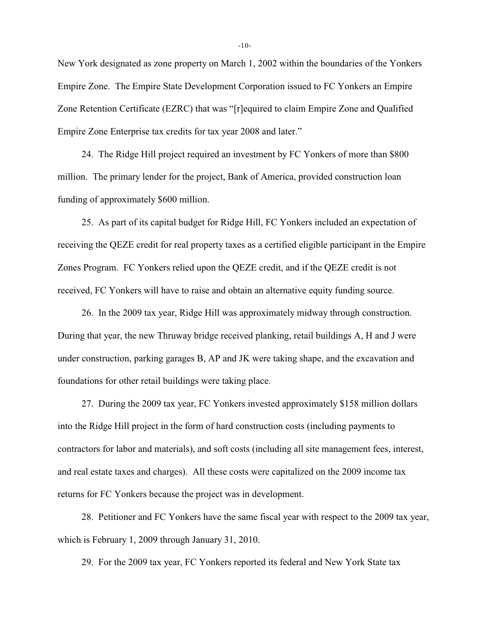New York designated as zone property on March 1, 2002 within the boundaries of the Yonkers Empire Zone. The Empire State Development Corporation issued to FC Yonkers an Empire Zone Retention Certificate (EZRC) that was "[r]equired to claim Empire Zone and Qualified Empire Zone Enterprise tax credits for tax year 2008 and later."

24. The Ridge Hill project required an investment by FC Yonkers of more than \$800 million. The primary lender for the project, Bank of America, provided construction loan funding of approximately \$600 million.

25. As part of its capital budget for Ridge Hill, FC Yonkers included an expectation of receiving the QEZE credit for real property taxes as a certified eligible participant in the Empire Zones Program. FC Yonkers relied upon the QEZE credit, and if the QEZE credit is not received, FC Yonkers will have to raise and obtain an alternative equity funding source.

26. In the 2009 tax year, Ridge Hill was approximately midway through construction. During that year, the new Thruway bridge received planking, retail buildings A, H and J were under construction, parking garages B, AP and JK were taking shape, and the excavation and foundations for other retail buildings were taking place.

27. During the 2009 tax year, FC Yonkers invested approximately \$158 million dollars into the Ridge Hill project in the form of hard construction costs (including payments to contractors for labor and materials), and soft costs (including all site management fees, interest, and real estate taxes and charges). All these costs were capitalized on the 2009 income tax returns for FC Yonkers because the project was in development.

28. Petitioner and FC Yonkers have the same fiscal year with respect to the 2009 tax year, which is February 1, 2009 through January 31, 2010.

29. For the 2009 tax year, FC Yonkers reported its federal and New York State tax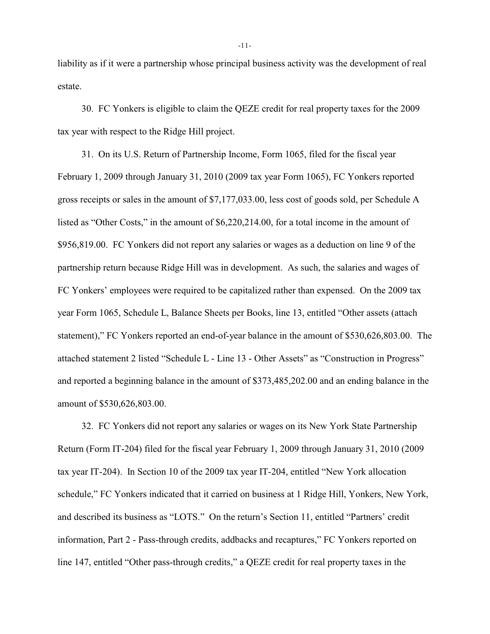liability as if it were a partnership whose principal business activity was the development of real estate.

30. FC Yonkers is eligible to claim the QEZE credit for real property taxes for the 2009 tax year with respect to the Ridge Hill project.

31. On its U.S. Return of Partnership Income, Form 1065, filed for the fiscal year February 1, 2009 through January 31, 2010 (2009 tax year Form 1065), FC Yonkers reported gross receipts or sales in the amount of \$7,177,033.00, less cost of goods sold, per Schedule A listed as "Other Costs," in the amount of \$6,220,214.00, for a total income in the amount of \$956,819.00. FC Yonkers did not report any salaries or wages as a deduction on line 9 of the partnership return because Ridge Hill was in development. As such, the salaries and wages of FC Yonkers' employees were required to be capitalized rather than expensed. On the 2009 tax year Form 1065, Schedule L, Balance Sheets per Books, line 13, entitled "Other assets (attach statement)," FC Yonkers reported an end-of-year balance in the amount of \$530,626,803.00. The attached statement 2 listed "Schedule L - Line 13 - Other Assets" as "Construction in Progress" and reported a beginning balance in the amount of \$373,485,202.00 and an ending balance in the amount of \$530,626,803.00.

32. FC Yonkers did not report any salaries or wages on its New York State Partnership Return (Form IT-204) filed for the fiscal year February 1, 2009 through January 31, 2010 (2009 tax year IT-204). In Section 10 of the 2009 tax year IT-204, entitled "New York allocation schedule," FC Yonkers indicated that it carried on business at 1 Ridge Hill, Yonkers, New York, and described its business as "LOTS." On the return's Section 11, entitled "Partners' credit information, Part 2 - Pass-through credits, addbacks and recaptures," FC Yonkers reported on line 147, entitled "Other pass-through credits," a QEZE credit for real property taxes in the

-11-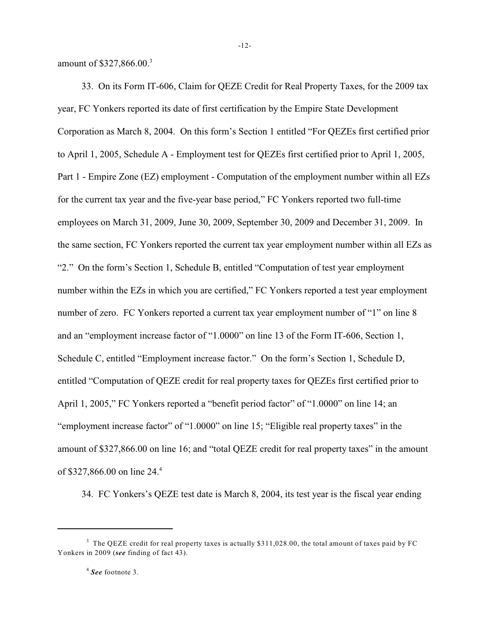amount of \$327,866.00.<sup>3</sup>

33. On its Form IT-606, Claim for QEZE Credit for Real Property Taxes, for the 2009 tax year, FC Yonkers reported its date of first certification by the Empire State Development Corporation as March 8, 2004. On this form's Section 1 entitled "For QEZEs first certified prior to April 1, 2005, Schedule A - Employment test for QEZEs first certified prior to April 1, 2005, Part 1 - Empire Zone (EZ) employment - Computation of the employment number within all EZs for the current tax year and the five-year base period," FC Yonkers reported two full-time employees on March 31, 2009, June 30, 2009, September 30, 2009 and December 31, 2009. In the same section, FC Yonkers reported the current tax year employment number within all EZs as "2." On the form's Section 1, Schedule B, entitled "Computation of test year employment number within the EZs in which you are certified," FC Yonkers reported a test year employment number of zero. FC Yonkers reported a current tax year employment number of "1" on line 8 and an "employment increase factor of "1.0000" on line 13 of the Form IT-606, Section 1, Schedule C, entitled "Employment increase factor." On the form's Section 1, Schedule D, entitled "Computation of QEZE credit for real property taxes for QEZEs first certified prior to April 1, 2005," FC Yonkers reported a "benefit period factor" of "1.0000" on line 14; an "employment increase factor" of "1.0000" on line 15; "Eligible real property taxes" in the amount of \$327,866.00 on line 16; and "total QEZE credit for real property taxes" in the amount of \$327,866.00 on line 24.<sup>4</sup>

34. FC Yonkers's QEZE test date is March 8, 2004, its test year is the fiscal year ending

 $3$  The QEZE credit for real property taxes is actually \$311,028.00, the total amount of taxes paid by FC Yonkers in 2009 (*see* finding of fact 43).

<sup>&</sup>lt;sup>4</sup> See footnote 3.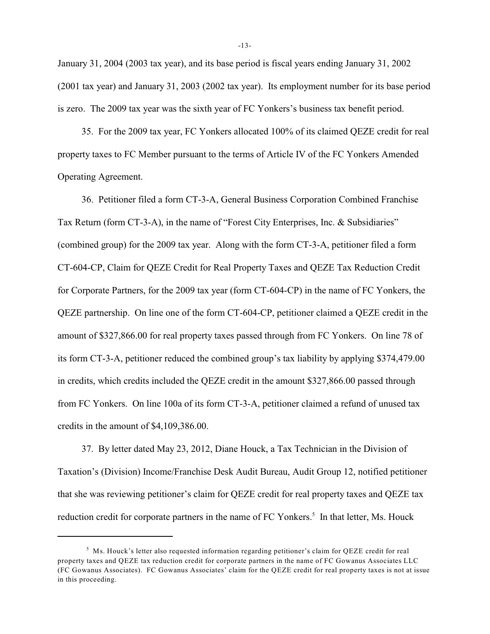January 31, 2004 (2003 tax year), and its base period is fiscal years ending January 31, 2002 (2001 tax year) and January 31, 2003 (2002 tax year). Its employment number for its base period is zero. The 2009 tax year was the sixth year of FC Yonkers's business tax benefit period.

35. For the 2009 tax year, FC Yonkers allocated 100% of its claimed QEZE credit for real property taxes to FC Member pursuant to the terms of Article IV of the FC Yonkers Amended Operating Agreement.

36. Petitioner filed a form CT-3-A, General Business Corporation Combined Franchise Tax Return (form CT-3-A), in the name of "Forest City Enterprises, Inc. & Subsidiaries" (combined group) for the 2009 tax year. Along with the form CT-3-A, petitioner filed a form CT-604-CP, Claim for QEZE Credit for Real Property Taxes and QEZE Tax Reduction Credit for Corporate Partners, for the 2009 tax year (form CT-604-CP) in the name of FC Yonkers, the QEZE partnership. On line one of the form CT-604-CP, petitioner claimed a QEZE credit in the amount of \$327,866.00 for real property taxes passed through from FC Yonkers. On line 78 of its form CT-3-A, petitioner reduced the combined group's tax liability by applying \$374,479.00 in credits, which credits included the QEZE credit in the amount \$327,866.00 passed through from FC Yonkers. On line 100a of its form CT-3-A, petitioner claimed a refund of unused tax credits in the amount of \$4,109,386.00.

37. By letter dated May 23, 2012, Diane Houck, a Tax Technician in the Division of Taxation's (Division) Income/Franchise Desk Audit Bureau, Audit Group 12, notified petitioner that she was reviewing petitioner's claim for QEZE credit for real property taxes and QEZE tax reduction credit for corporate partners in the name of FC Yonkers.<sup>5</sup> In that letter, Ms. Houck

 $<sup>5</sup>$  Ms. Houck's letter also requested information regarding petitioner's claim for QEZE credit for real</sup> property taxes and QEZE tax reduction credit for corporate partners in the name of FC Gowanus Associates LLC (FC Gowanus Associates). FC Gowanus Associates' claim for the QEZE credit for real property taxes is not at issue in this proceeding.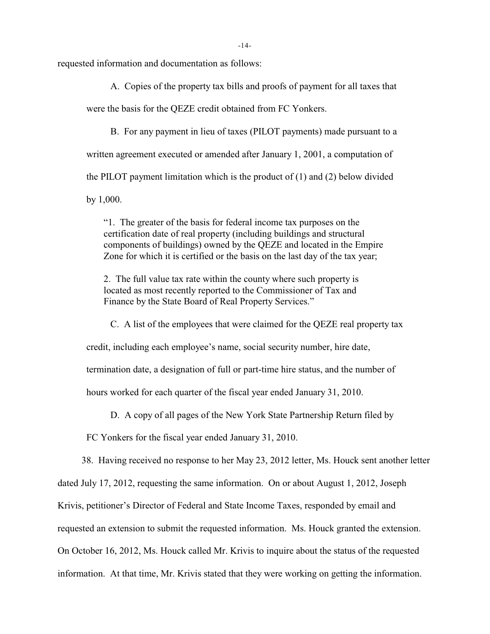requested information and documentation as follows:

A. Copies of the property tax bills and proofs of payment for all taxes that

were the basis for the QEZE credit obtained from FC Yonkers.

B. For any payment in lieu of taxes (PILOT payments) made pursuant to a written agreement executed or amended after January 1, 2001, a computation of the PILOT payment limitation which is the product of  $(1)$  and  $(2)$  below divided by 1,000.

"1. The greater of the basis for federal income tax purposes on the certification date of real property (including buildings and structural components of buildings) owned by the QEZE and located in the Empire Zone for which it is certified or the basis on the last day of the tax year;

2. The full value tax rate within the county where such property is located as most recently reported to the Commissioner of Tax and Finance by the State Board of Real Property Services."

C. A list of the employees that were claimed for the QEZE real property tax

credit, including each employee's name, social security number, hire date,

termination date, a designation of full or part-time hire status, and the number of

hours worked for each quarter of the fiscal year ended January 31, 2010.

D. A copy of all pages of the New York State Partnership Return filed by

FC Yonkers for the fiscal year ended January 31, 2010.

38. Having received no response to her May 23, 2012 letter, Ms. Houck sent another letter

dated July 17, 2012, requesting the same information. On or about August 1, 2012, Joseph

Krivis, petitioner's Director of Federal and State Income Taxes, responded by email and

requested an extension to submit the requested information. Ms. Houck granted the extension.

On October 16, 2012, Ms. Houck called Mr. Krivis to inquire about the status of the requested

information. At that time, Mr. Krivis stated that they were working on getting the information.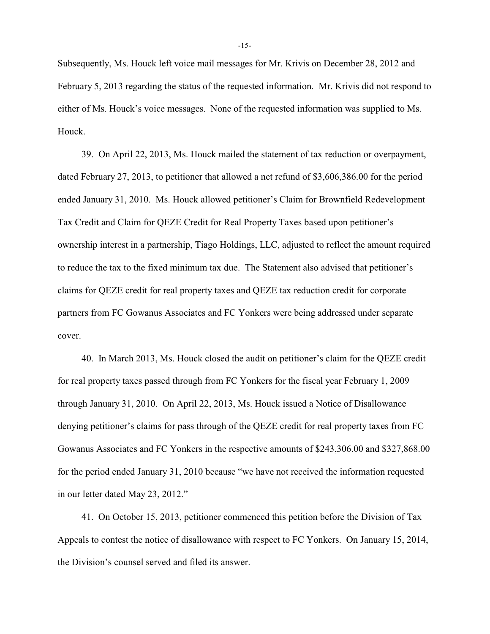Subsequently, Ms. Houck left voice mail messages for Mr. Krivis on December 28, 2012 and February 5, 2013 regarding the status of the requested information. Mr. Krivis did not respond to either of Ms. Houck's voice messages. None of the requested information was supplied to Ms. Houck.

39. On April 22, 2013, Ms. Houck mailed the statement of tax reduction or overpayment, dated February 27, 2013, to petitioner that allowed a net refund of \$3,606,386.00 for the period ended January 31, 2010. Ms. Houck allowed petitioner's Claim for Brownfield Redevelopment Tax Credit and Claim for QEZE Credit for Real Property Taxes based upon petitioner's ownership interest in a partnership, Tiago Holdings, LLC, adjusted to reflect the amount required to reduce the tax to the fixed minimum tax due. The Statement also advised that petitioner's claims for QEZE credit for real property taxes and QEZE tax reduction credit for corporate partners from FC Gowanus Associates and FC Yonkers were being addressed under separate cover.

40. In March 2013, Ms. Houck closed the audit on petitioner's claim for the QEZE credit for real property taxes passed through from FC Yonkers for the fiscal year February 1, 2009 through January 31, 2010. On April 22, 2013, Ms. Houck issued a Notice of Disallowance denying petitioner's claims for pass through of the QEZE credit for real property taxes from FC Gowanus Associates and FC Yonkers in the respective amounts of \$243,306.00 and \$327,868.00 for the period ended January 31, 2010 because "we have not received the information requested in our letter dated May 23, 2012."

41. On October 15, 2013, petitioner commenced this petition before the Division of Tax Appeals to contest the notice of disallowance with respect to FC Yonkers. On January 15, 2014, the Division's counsel served and filed its answer.

-15-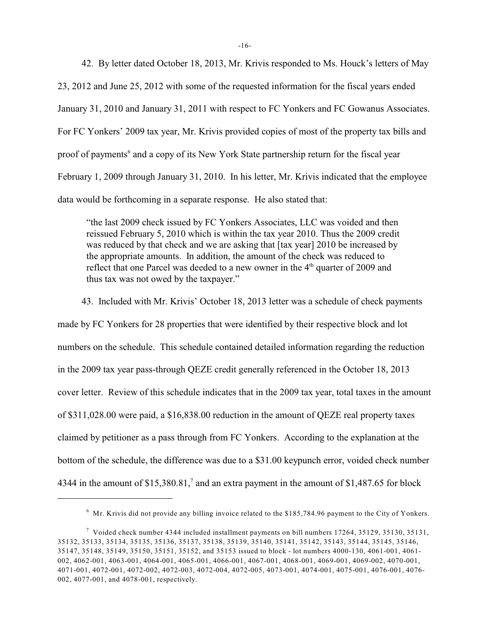42. By letter dated October 18, 2013, Mr. Krivis responded to Ms. Houck's letters of May 23, 2012 and June 25, 2012 with some of the requested information for the fiscal years ended January 31, 2010 and January 31, 2011 with respect to FC Yonkers and FC Gowanus Associates. For FC Yonkers' 2009 tax year, Mr. Krivis provided copies of most of the property tax bills and proof of payments<sup>6</sup> and a copy of its New York State partnership return for the fiscal year February 1, 2009 through January 31, 2010. In his letter, Mr. Krivis indicated that the employee data would be forthcoming in a separate response. He also stated that:

"the last 2009 check issued by FC Yonkers Associates, LLC was voided and then reissued February 5, 2010 which is within the tax year 2010. Thus the 2009 credit was reduced by that check and we are asking that [tax year] 2010 be increased by the appropriate amounts. In addition, the amount of the check was reduced to reflect that one Parcel was deeded to a new owner in the  $4<sup>th</sup>$  quarter of 2009 and thus tax was not owed by the taxpayer."

43. Included with Mr. Krivis' October 18, 2013 letter was a schedule of check payments made by FC Yonkers for 28 properties that were identified by their respective block and lot numbers on the schedule. This schedule contained detailed information regarding the reduction in the 2009 tax year pass-through QEZE credit generally referenced in the October 18, 2013 cover letter. Review of this schedule indicates that in the 2009 tax year, total taxes in the amount of \$311,028.00 were paid, a \$16,838.00 reduction in the amount of QEZE real property taxes claimed by petitioner as a pass through from FC Yonkers. According to the explanation at the bottom of the schedule, the difference was due to a \$31.00 keypunch error, voided check number 4344 in the amount of  $$15,380.81$ ,<sup>7</sup> and an extra payment in the amount of  $$1,487.65$  for block

 $6\,$  Mr. Krivis did not provide any billing invoice related to the \$185,784.96 payment to the City of Yonkers.

 $\frac{7}{1}$  Voided check number 4344 included installment payments on bill numbers 17264, 35129, 35130, 35131, 35132, 35133, 35134, 35135, 35136, 35137, 35138, 35139, 35140, 35141, 35142, 35143, 35144, 35145, 35146, 35147, 35148, 35149, 35150, 35151, 35152, and 35153 issued to block - lot numbers 4000-130, 4061-001, 4061- 002, 4062-001, 4063-001, 4064-001, 4065-001, 4066-001, 4067-001, 4068-001, 4069-001, 4069-002, 4070-001, 4071-001, 4072-001, 4072-002, 4072-003, 4072-004, 4072-005, 4073-001, 4074-001, 4075-001, 4076-001, 4076- 002, 4077-001, and 4078-001, respectively.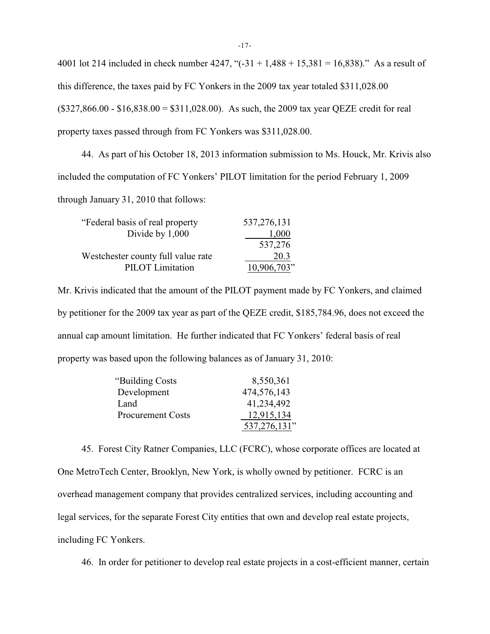4001 lot 214 included in check number 4247, " $(-31 + 1,488 + 15,381 = 16,838)$ ." As a result of this difference, the taxes paid by FC Yonkers in the 2009 tax year totaled \$311,028.00  $($327,866.00 - $16,838.00 = $311,028.00)$ . As such, the 2009 tax year QEZE credit for real property taxes passed through from FC Yonkers was \$311,028.00.

44. As part of his October 18, 2013 information submission to Ms. Houck, Mr. Krivis also included the computation of FC Yonkers' PILOT limitation for the period February 1, 2009 through January 31, 2010 that follows:

| "Federal basis of real property"   | 537, 276, 131 |
|------------------------------------|---------------|
| Divide by 1,000                    | 1,000         |
|                                    | 537,276       |
| Westchester county full value rate | 20.3          |
| <b>PILOT</b> Limitation            | 10,906,703"   |

Mr. Krivis indicated that the amount of the PILOT payment made by FC Yonkers, and claimed by petitioner for the 2009 tax year as part of the QEZE credit, \$185,784.96, does not exceed the annual cap amount limitation. He further indicated that FC Yonkers' federal basis of real property was based upon the following balances as of January 31, 2010:

| "Building Costs"         | 8,550,361    |
|--------------------------|--------------|
| Development              | 474,576,143  |
| Land                     | 41,234,492   |
| <b>Procurement Costs</b> | 12,915,134   |
|                          | 537,276,131" |

45. Forest City Ratner Companies, LLC (FCRC), whose corporate offices are located at One MetroTech Center, Brooklyn, New York, is wholly owned by petitioner. FCRC is an overhead management company that provides centralized services, including accounting and legal services, for the separate Forest City entities that own and develop real estate projects, including FC Yonkers.

46. In order for petitioner to develop real estate projects in a cost-efficient manner, certain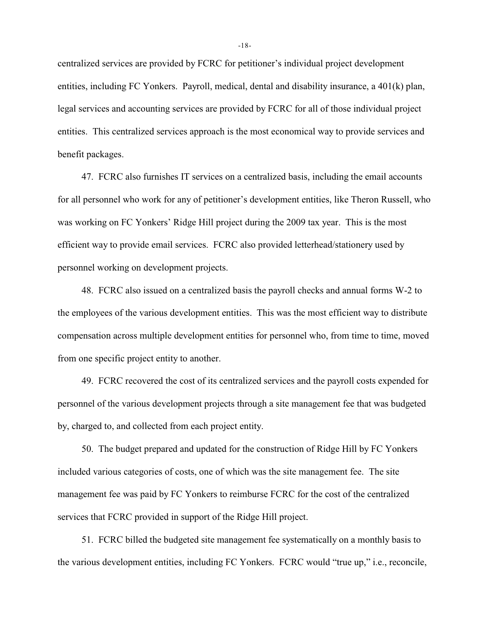centralized services are provided by FCRC for petitioner's individual project development entities, including FC Yonkers. Payroll, medical, dental and disability insurance, a 401(k) plan, legal services and accounting services are provided by FCRC for all of those individual project entities. This centralized services approach is the most economical way to provide services and benefit packages.

47. FCRC also furnishes IT services on a centralized basis, including the email accounts for all personnel who work for any of petitioner's development entities, like Theron Russell, who was working on FC Yonkers' Ridge Hill project during the 2009 tax year. This is the most efficient way to provide email services. FCRC also provided letterhead/stationery used by personnel working on development projects.

48. FCRC also issued on a centralized basis the payroll checks and annual forms W-2 to the employees of the various development entities. This was the most efficient way to distribute compensation across multiple development entities for personnel who, from time to time, moved from one specific project entity to another.

49. FCRC recovered the cost of its centralized services and the payroll costs expended for personnel of the various development projects through a site management fee that was budgeted by, charged to, and collected from each project entity.

50. The budget prepared and updated for the construction of Ridge Hill by FC Yonkers included various categories of costs, one of which was the site management fee. The site management fee was paid by FC Yonkers to reimburse FCRC for the cost of the centralized services that FCRC provided in support of the Ridge Hill project.

51. FCRC billed the budgeted site management fee systematically on a monthly basis to the various development entities, including FC Yonkers. FCRC would "true up," i.e., reconcile,

-18-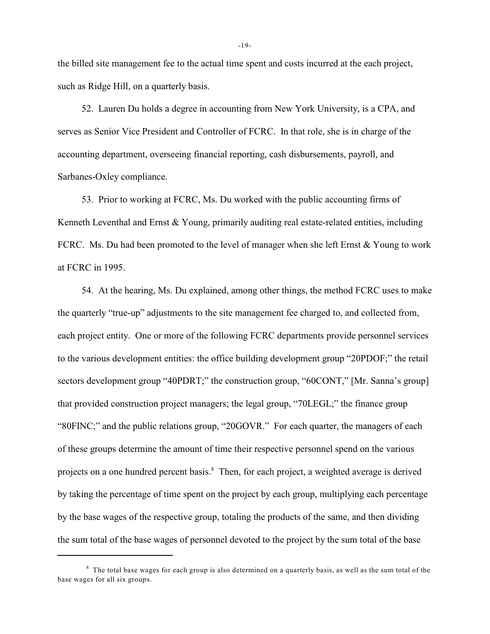the billed site management fee to the actual time spent and costs incurred at the each project, such as Ridge Hill, on a quarterly basis.

52. Lauren Du holds a degree in accounting from New York University, is a CPA, and serves as Senior Vice President and Controller of FCRC. In that role, she is in charge of the accounting department, overseeing financial reporting, cash disbursements, payroll, and Sarbanes-Oxley compliance.

53. Prior to working at FCRC, Ms. Du worked with the public accounting firms of Kenneth Leventhal and Ernst & Young, primarily auditing real estate-related entities, including FCRC. Ms. Du had been promoted to the level of manager when she left Ernst & Young to work at FCRC in 1995.

54. At the hearing, Ms. Du explained, among other things, the method FCRC uses to make the quarterly "true-up" adjustments to the site management fee charged to, and collected from, each project entity. One or more of the following FCRC departments provide personnel services to the various development entities: the office building development group "20PDOF;" the retail sectors development group "40PDRT;" the construction group, "60CONT," [Mr. Sanna's group] that provided construction project managers; the legal group, "70LEGL;" the finance group "80FINC;" and the public relations group, "20GOVR." For each quarter, the managers of each of these groups determine the amount of time their respective personnel spend on the various projects on a one hundred percent basis.<sup>8</sup> Then, for each project, a weighted average is derived by taking the percentage of time spent on the project by each group, multiplying each percentage by the base wages of the respective group, totaling the products of the same, and then dividing the sum total of the base wages of personnel devoted to the project by the sum total of the base

-19-

 $8$  The total base wages for each group is also determined on a quarterly basis, as well as the sum total of the base wages for all six groups.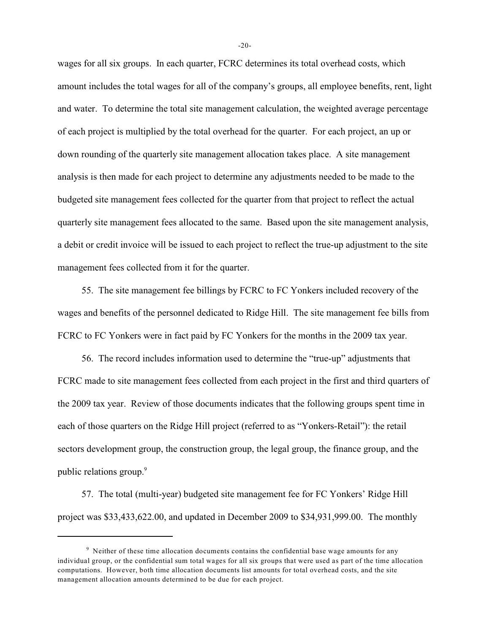wages for all six groups. In each quarter, FCRC determines its total overhead costs, which amount includes the total wages for all of the company's groups, all employee benefits, rent, light and water. To determine the total site management calculation, the weighted average percentage of each project is multiplied by the total overhead for the quarter. For each project, an up or down rounding of the quarterly site management allocation takes place. A site management analysis is then made for each project to determine any adjustments needed to be made to the budgeted site management fees collected for the quarter from that project to reflect the actual quarterly site management fees allocated to the same. Based upon the site management analysis, a debit or credit invoice will be issued to each project to reflect the true-up adjustment to the site management fees collected from it for the quarter.

55. The site management fee billings by FCRC to FC Yonkers included recovery of the wages and benefits of the personnel dedicated to Ridge Hill. The site management fee bills from FCRC to FC Yonkers were in fact paid by FC Yonkers for the months in the 2009 tax year.

56. The record includes information used to determine the "true-up" adjustments that FCRC made to site management fees collected from each project in the first and third quarters of the 2009 tax year. Review of those documents indicates that the following groups spent time in each of those quarters on the Ridge Hill project (referred to as "Yonkers-Retail"): the retail sectors development group, the construction group, the legal group, the finance group, and the public relations group.<sup>9</sup>

57. The total (multi-year) budgeted site management fee for FC Yonkers' Ridge Hill project was \$33,433,622.00, and updated in December 2009 to \$34,931,999.00. The monthly

-20-

 $9$  Neither of these time allocation documents contains the confidential base wage amounts for any individual group, or the confidential sum total wages for all six groups that were used as part of the time allocation computations. However, both time allocation documents list amounts for total overhead costs, and the site management allocation amounts determined to be due for each project.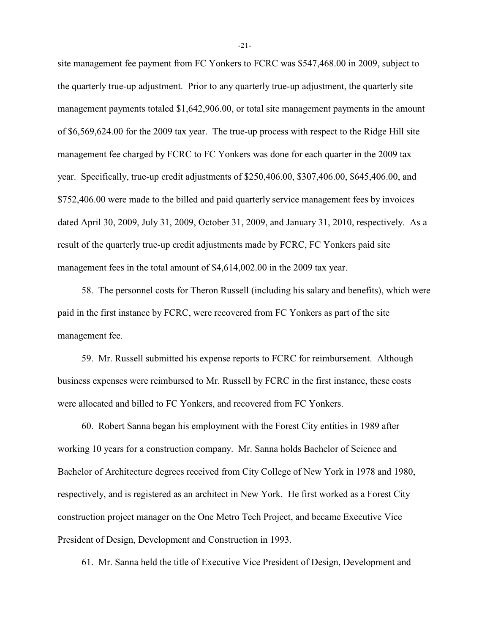site management fee payment from FC Yonkers to FCRC was \$547,468.00 in 2009, subject to the quarterly true-up adjustment. Prior to any quarterly true-up adjustment, the quarterly site management payments totaled \$1,642,906.00, or total site management payments in the amount of \$6,569,624.00 for the 2009 tax year. The true-up process with respect to the Ridge Hill site management fee charged by FCRC to FC Yonkers was done for each quarter in the 2009 tax year. Specifically, true-up credit adjustments of \$250,406.00, \$307,406.00, \$645,406.00, and \$752,406.00 were made to the billed and paid quarterly service management fees by invoices dated April 30, 2009, July 31, 2009, October 31, 2009, and January 31, 2010, respectively. As a result of the quarterly true-up credit adjustments made by FCRC, FC Yonkers paid site management fees in the total amount of \$4,614,002.00 in the 2009 tax year.

58. The personnel costs for Theron Russell (including his salary and benefits), which were paid in the first instance by FCRC, were recovered from FC Yonkers as part of the site management fee.

59. Mr. Russell submitted his expense reports to FCRC for reimbursement. Although business expenses were reimbursed to Mr. Russell by FCRC in the first instance, these costs were allocated and billed to FC Yonkers, and recovered from FC Yonkers.

60. Robert Sanna began his employment with the Forest City entities in 1989 after working 10 years for a construction company. Mr. Sanna holds Bachelor of Science and Bachelor of Architecture degrees received from City College of New York in 1978 and 1980, respectively, and is registered as an architect in New York. He first worked as a Forest City construction project manager on the One Metro Tech Project, and became Executive Vice President of Design, Development and Construction in 1993.

61. Mr. Sanna held the title of Executive Vice President of Design, Development and

-21-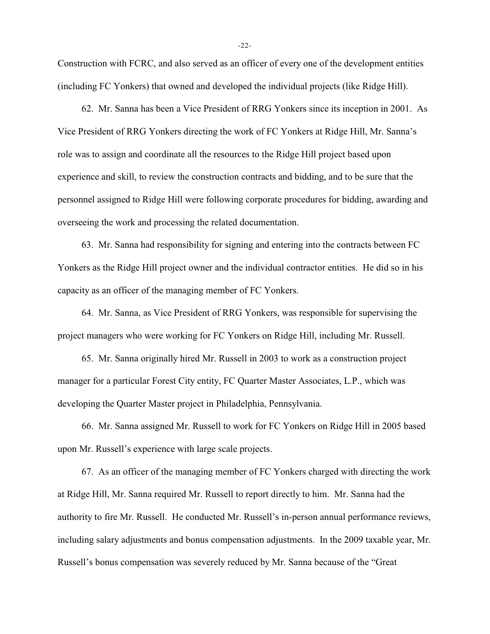Construction with FCRC, and also served as an officer of every one of the development entities (including FC Yonkers) that owned and developed the individual projects (like Ridge Hill).

62. Mr. Sanna has been a Vice President of RRG Yonkers since its inception in 2001. As Vice President of RRG Yonkers directing the work of FC Yonkers at Ridge Hill, Mr. Sanna's role was to assign and coordinate all the resources to the Ridge Hill project based upon experience and skill, to review the construction contracts and bidding, and to be sure that the personnel assigned to Ridge Hill were following corporate procedures for bidding, awarding and overseeing the work and processing the related documentation.

63. Mr. Sanna had responsibility for signing and entering into the contracts between FC Yonkers as the Ridge Hill project owner and the individual contractor entities. He did so in his capacity as an officer of the managing member of FC Yonkers.

64. Mr. Sanna, as Vice President of RRG Yonkers, was responsible for supervising the project managers who were working for FC Yonkers on Ridge Hill, including Mr. Russell.

65. Mr. Sanna originally hired Mr. Russell in 2003 to work as a construction project manager for a particular Forest City entity, FC Quarter Master Associates, L.P., which was developing the Quarter Master project in Philadelphia, Pennsylvania.

66. Mr. Sanna assigned Mr. Russell to work for FC Yonkers on Ridge Hill in 2005 based upon Mr. Russell's experience with large scale projects.

67. As an officer of the managing member of FC Yonkers charged with directing the work at Ridge Hill, Mr. Sanna required Mr. Russell to report directly to him. Mr. Sanna had the authority to fire Mr. Russell. He conducted Mr. Russell's in-person annual performance reviews, including salary adjustments and bonus compensation adjustments. In the 2009 taxable year, Mr. Russell's bonus compensation was severely reduced by Mr. Sanna because of the "Great

-22-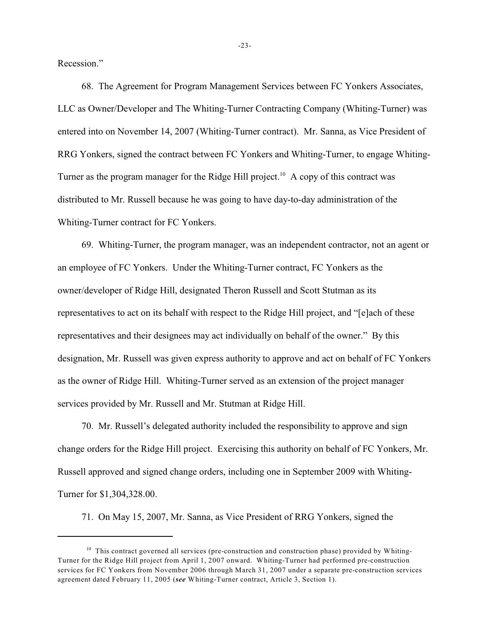Recession."

68. The Agreement for Program Management Services between FC Yonkers Associates, LLC as Owner/Developer and The Whiting-Turner Contracting Company (Whiting-Turner) was entered into on November 14, 2007 (Whiting-Turner contract). Mr. Sanna, as Vice President of RRG Yonkers, signed the contract between FC Yonkers and Whiting-Turner, to engage Whiting-Turner as the program manager for the Ridge Hill project.<sup>10</sup> A copy of this contract was distributed to Mr. Russell because he was going to have day-to-day administration of the Whiting-Turner contract for FC Yonkers.

69. Whiting-Turner, the program manager, was an independent contractor, not an agent or an employee of FC Yonkers. Under the Whiting-Turner contract, FC Yonkers as the owner/developer of Ridge Hill, designated Theron Russell and Scott Stutman as its representatives to act on its behalf with respect to the Ridge Hill project, and "[e]ach of these representatives and their designees may act individually on behalf of the owner." By this designation, Mr. Russell was given express authority to approve and act on behalf of FC Yonkers as the owner of Ridge Hill. Whiting-Turner served as an extension of the project manager services provided by Mr. Russell and Mr. Stutman at Ridge Hill.

70. Mr. Russell's delegated authority included the responsibility to approve and sign change orders for the Ridge Hill project. Exercising this authority on behalf of FC Yonkers, Mr. Russell approved and signed change orders, including one in September 2009 with Whiting-Turner for \$1,304,328.00.

71. On May 15, 2007, Mr. Sanna, as Vice President of RRG Yonkers, signed the

 $10$  This contract governed all services (pre-construction and construction phase) provided by Whiting-Turner for the Ridge Hill project from April 1, 2007 onward. Whiting-Turner had performed pre-construction services for FC Yonkers from November 2006 through March 31, 2007 under a separate pre-construction services agreement dated February 11, 2005 (*see* Whiting-Turner contract, Article 3, Section 1).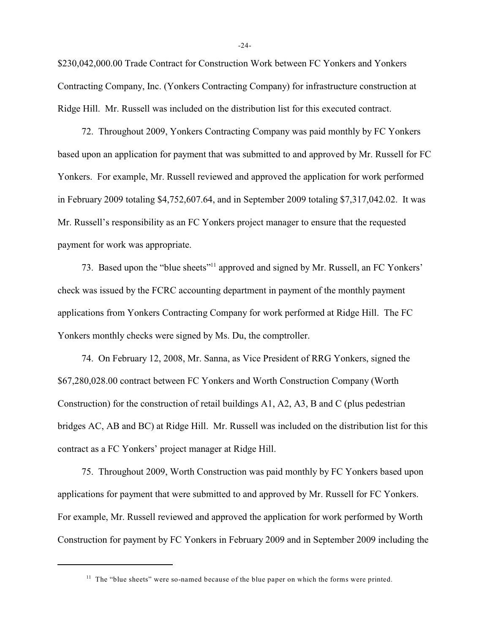\$230,042,000.00 Trade Contract for Construction Work between FC Yonkers and Yonkers Contracting Company, Inc. (Yonkers Contracting Company) for infrastructure construction at Ridge Hill. Mr. Russell was included on the distribution list for this executed contract.

72. Throughout 2009, Yonkers Contracting Company was paid monthly by FC Yonkers based upon an application for payment that was submitted to and approved by Mr. Russell for FC Yonkers. For example, Mr. Russell reviewed and approved the application for work performed in February 2009 totaling \$4,752,607.64, and in September 2009 totaling \$7,317,042.02. It was Mr. Russell's responsibility as an FC Yonkers project manager to ensure that the requested payment for work was appropriate.

73. Based upon the "blue sheets"<sup>11</sup> approved and signed by Mr. Russell, an FC Yonkers' check was issued by the FCRC accounting department in payment of the monthly payment applications from Yonkers Contracting Company for work performed at Ridge Hill. The FC Yonkers monthly checks were signed by Ms. Du, the comptroller.

74. On February 12, 2008, Mr. Sanna, as Vice President of RRG Yonkers, signed the \$67,280,028.00 contract between FC Yonkers and Worth Construction Company (Worth Construction) for the construction of retail buildings A1, A2, A3, B and C (plus pedestrian bridges AC, AB and BC) at Ridge Hill. Mr. Russell was included on the distribution list for this contract as a FC Yonkers' project manager at Ridge Hill.

75. Throughout 2009, Worth Construction was paid monthly by FC Yonkers based upon applications for payment that were submitted to and approved by Mr. Russell for FC Yonkers. For example, Mr. Russell reviewed and approved the application for work performed by Worth Construction for payment by FC Yonkers in February 2009 and in September 2009 including the

-24-

 $11$  The "blue sheets" were so-named because of the blue paper on which the forms were printed.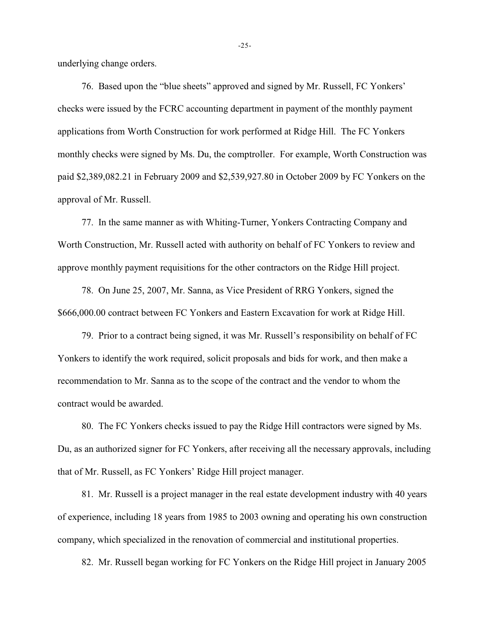underlying change orders.

76. Based upon the "blue sheets" approved and signed by Mr. Russell, FC Yonkers' checks were issued by the FCRC accounting department in payment of the monthly payment applications from Worth Construction for work performed at Ridge Hill. The FC Yonkers monthly checks were signed by Ms. Du, the comptroller. For example, Worth Construction was paid \$2,389,082.21 in February 2009 and \$2,539,927.80 in October 2009 by FC Yonkers on the approval of Mr. Russell.

77. In the same manner as with Whiting-Turner, Yonkers Contracting Company and Worth Construction, Mr. Russell acted with authority on behalf of FC Yonkers to review and approve monthly payment requisitions for the other contractors on the Ridge Hill project.

78. On June 25, 2007, Mr. Sanna, as Vice President of RRG Yonkers, signed the \$666,000.00 contract between FC Yonkers and Eastern Excavation for work at Ridge Hill.

79. Prior to a contract being signed, it was Mr. Russell's responsibility on behalf of FC Yonkers to identify the work required, solicit proposals and bids for work, and then make a recommendation to Mr. Sanna as to the scope of the contract and the vendor to whom the contract would be awarded.

80. The FC Yonkers checks issued to pay the Ridge Hill contractors were signed by Ms. Du, as an authorized signer for FC Yonkers, after receiving all the necessary approvals, including that of Mr. Russell, as FC Yonkers' Ridge Hill project manager.

81. Mr. Russell is a project manager in the real estate development industry with 40 years of experience, including 18 years from 1985 to 2003 owning and operating his own construction company, which specialized in the renovation of commercial and institutional properties.

82. Mr. Russell began working for FC Yonkers on the Ridge Hill project in January 2005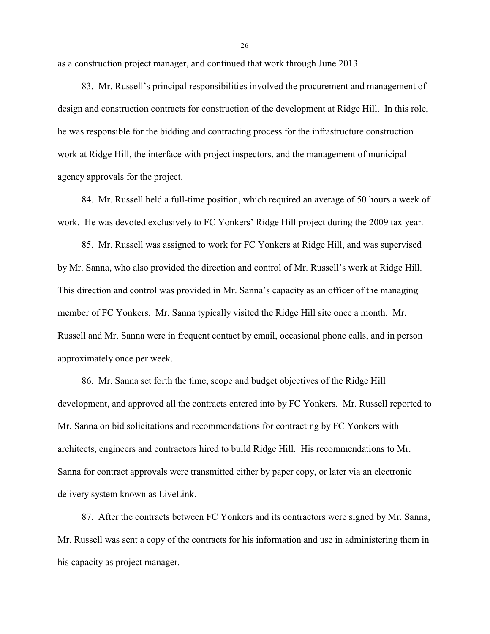as a construction project manager, and continued that work through June 2013.

83. Mr. Russell's principal responsibilities involved the procurement and management of design and construction contracts for construction of the development at Ridge Hill. In this role, he was responsible for the bidding and contracting process for the infrastructure construction work at Ridge Hill, the interface with project inspectors, and the management of municipal agency approvals for the project.

84. Mr. Russell held a full-time position, which required an average of 50 hours a week of work. He was devoted exclusively to FC Yonkers' Ridge Hill project during the 2009 tax year.

85. Mr. Russell was assigned to work for FC Yonkers at Ridge Hill, and was supervised by Mr. Sanna, who also provided the direction and control of Mr. Russell's work at Ridge Hill. This direction and control was provided in Mr. Sanna's capacity as an officer of the managing member of FC Yonkers. Mr. Sanna typically visited the Ridge Hill site once a month. Mr. Russell and Mr. Sanna were in frequent contact by email, occasional phone calls, and in person approximately once per week.

86. Mr. Sanna set forth the time, scope and budget objectives of the Ridge Hill development, and approved all the contracts entered into by FC Yonkers. Mr. Russell reported to Mr. Sanna on bid solicitations and recommendations for contracting by FC Yonkers with architects, engineers and contractors hired to build Ridge Hill. His recommendations to Mr. Sanna for contract approvals were transmitted either by paper copy, or later via an electronic delivery system known as LiveLink.

87. After the contracts between FC Yonkers and its contractors were signed by Mr. Sanna, Mr. Russell was sent a copy of the contracts for his information and use in administering them in his capacity as project manager.

-26-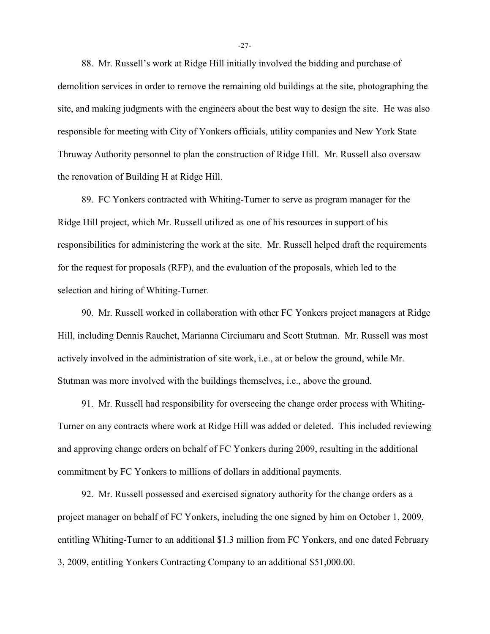88. Mr. Russell's work at Ridge Hill initially involved the bidding and purchase of demolition services in order to remove the remaining old buildings at the site, photographing the site, and making judgments with the engineers about the best way to design the site. He was also responsible for meeting with City of Yonkers officials, utility companies and New York State Thruway Authority personnel to plan the construction of Ridge Hill. Mr. Russell also oversaw the renovation of Building H at Ridge Hill.

89. FC Yonkers contracted with Whiting-Turner to serve as program manager for the Ridge Hill project, which Mr. Russell utilized as one of his resources in support of his responsibilities for administering the work at the site. Mr. Russell helped draft the requirements for the request for proposals (RFP), and the evaluation of the proposals, which led to the selection and hiring of Whiting-Turner.

90. Mr. Russell worked in collaboration with other FC Yonkers project managers at Ridge Hill, including Dennis Rauchet, Marianna Circiumaru and Scott Stutman. Mr. Russell was most actively involved in the administration of site work, i.e., at or below the ground, while Mr. Stutman was more involved with the buildings themselves, i.e., above the ground.

91. Mr. Russell had responsibility for overseeing the change order process with Whiting-Turner on any contracts where work at Ridge Hill was added or deleted. This included reviewing and approving change orders on behalf of FC Yonkers during 2009, resulting in the additional commitment by FC Yonkers to millions of dollars in additional payments.

92. Mr. Russell possessed and exercised signatory authority for the change orders as a project manager on behalf of FC Yonkers, including the one signed by him on October 1, 2009, entitling Whiting-Turner to an additional \$1.3 million from FC Yonkers, and one dated February 3, 2009, entitling Yonkers Contracting Company to an additional \$51,000.00.

-27-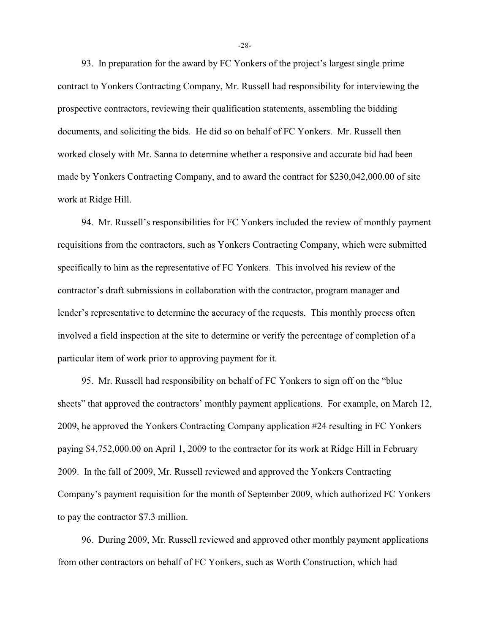93. In preparation for the award by FC Yonkers of the project's largest single prime contract to Yonkers Contracting Company, Mr. Russell had responsibility for interviewing the prospective contractors, reviewing their qualification statements, assembling the bidding documents, and soliciting the bids. He did so on behalf of FC Yonkers. Mr. Russell then worked closely with Mr. Sanna to determine whether a responsive and accurate bid had been made by Yonkers Contracting Company, and to award the contract for \$230,042,000.00 of site work at Ridge Hill.

94. Mr. Russell's responsibilities for FC Yonkers included the review of monthly payment requisitions from the contractors, such as Yonkers Contracting Company, which were submitted specifically to him as the representative of FC Yonkers. This involved his review of the contractor's draft submissions in collaboration with the contractor, program manager and lender's representative to determine the accuracy of the requests. This monthly process often involved a field inspection at the site to determine or verify the percentage of completion of a particular item of work prior to approving payment for it.

95. Mr. Russell had responsibility on behalf of FC Yonkers to sign off on the "blue sheets" that approved the contractors' monthly payment applications. For example, on March 12, 2009, he approved the Yonkers Contracting Company application #24 resulting in FC Yonkers paying \$4,752,000.00 on April 1, 2009 to the contractor for its work at Ridge Hill in February 2009. In the fall of 2009, Mr. Russell reviewed and approved the Yonkers Contracting Company's payment requisition for the month of September 2009, which authorized FC Yonkers to pay the contractor \$7.3 million.

96. During 2009, Mr. Russell reviewed and approved other monthly payment applications from other contractors on behalf of FC Yonkers, such as Worth Construction, which had

-28-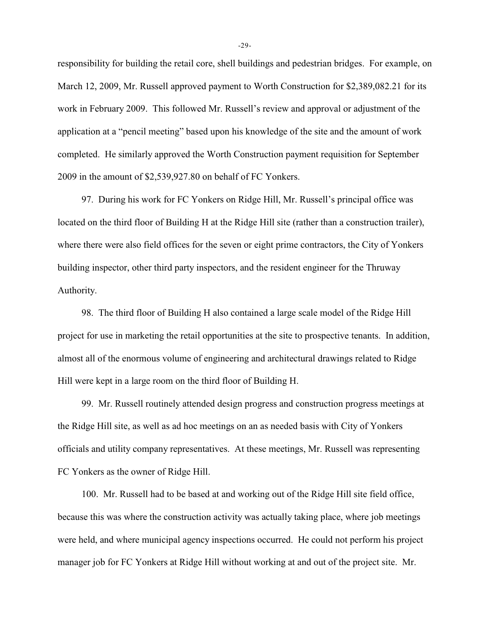responsibility for building the retail core, shell buildings and pedestrian bridges. For example, on March 12, 2009, Mr. Russell approved payment to Worth Construction for \$2,389,082.21 for its work in February 2009. This followed Mr. Russell's review and approval or adjustment of the application at a "pencil meeting" based upon his knowledge of the site and the amount of work completed. He similarly approved the Worth Construction payment requisition for September 2009 in the amount of \$2,539,927.80 on behalf of FC Yonkers.

97. During his work for FC Yonkers on Ridge Hill, Mr. Russell's principal office was located on the third floor of Building H at the Ridge Hill site (rather than a construction trailer), where there were also field offices for the seven or eight prime contractors, the City of Yonkers building inspector, other third party inspectors, and the resident engineer for the Thruway Authority.

98. The third floor of Building H also contained a large scale model of the Ridge Hill project for use in marketing the retail opportunities at the site to prospective tenants. In addition, almost all of the enormous volume of engineering and architectural drawings related to Ridge Hill were kept in a large room on the third floor of Building H.

99. Mr. Russell routinely attended design progress and construction progress meetings at the Ridge Hill site, as well as ad hoc meetings on an as needed basis with City of Yonkers officials and utility company representatives. At these meetings, Mr. Russell was representing FC Yonkers as the owner of Ridge Hill.

100. Mr. Russell had to be based at and working out of the Ridge Hill site field office, because this was where the construction activity was actually taking place, where job meetings were held, and where municipal agency inspections occurred. He could not perform his project manager job for FC Yonkers at Ridge Hill without working at and out of the project site. Mr.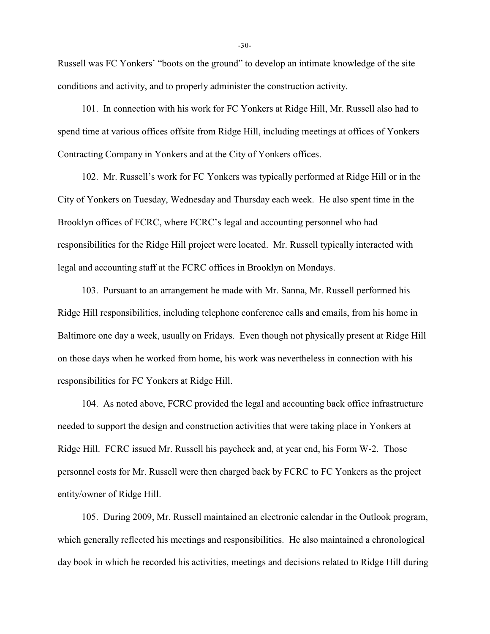Russell was FC Yonkers' "boots on the ground" to develop an intimate knowledge of the site conditions and activity, and to properly administer the construction activity.

101. In connection with his work for FC Yonkers at Ridge Hill, Mr. Russell also had to spend time at various offices offsite from Ridge Hill, including meetings at offices of Yonkers Contracting Company in Yonkers and at the City of Yonkers offices.

102. Mr. Russell's work for FC Yonkers was typically performed at Ridge Hill or in the City of Yonkers on Tuesday, Wednesday and Thursday each week. He also spent time in the Brooklyn offices of FCRC, where FCRC's legal and accounting personnel who had responsibilities for the Ridge Hill project were located. Mr. Russell typically interacted with legal and accounting staff at the FCRC offices in Brooklyn on Mondays.

103. Pursuant to an arrangement he made with Mr. Sanna, Mr. Russell performed his Ridge Hill responsibilities, including telephone conference calls and emails, from his home in Baltimore one day a week, usually on Fridays. Even though not physically present at Ridge Hill on those days when he worked from home, his work was nevertheless in connection with his responsibilities for FC Yonkers at Ridge Hill.

104. As noted above, FCRC provided the legal and accounting back office infrastructure needed to support the design and construction activities that were taking place in Yonkers at Ridge Hill. FCRC issued Mr. Russell his paycheck and, at year end, his Form W-2. Those personnel costs for Mr. Russell were then charged back by FCRC to FC Yonkers as the project entity/owner of Ridge Hill.

105. During 2009, Mr. Russell maintained an electronic calendar in the Outlook program, which generally reflected his meetings and responsibilities. He also maintained a chronological day book in which he recorded his activities, meetings and decisions related to Ridge Hill during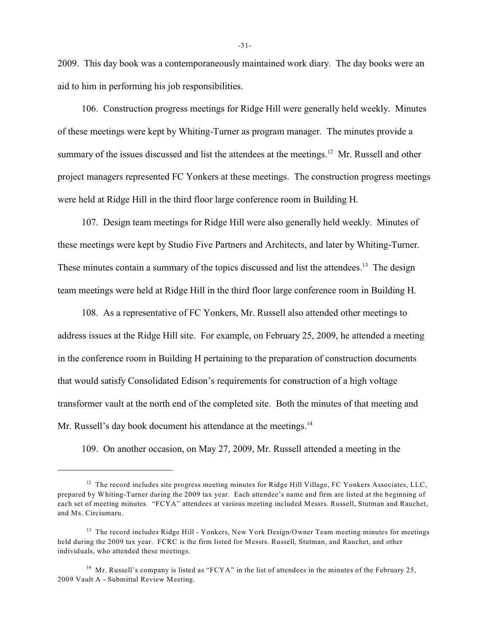2009. This day book was a contemporaneously maintained work diary. The day books were an aid to him in performing his job responsibilities.

106. Construction progress meetings for Ridge Hill were generally held weekly. Minutes of these meetings were kept by Whiting-Turner as program manager. The minutes provide a summary of the issues discussed and list the attendees at the meetings.<sup>12</sup> Mr. Russell and other project managers represented FC Yonkers at these meetings. The construction progress meetings were held at Ridge Hill in the third floor large conference room in Building H.

107. Design team meetings for Ridge Hill were also generally held weekly. Minutes of these meetings were kept by Studio Five Partners and Architects, and later by Whiting-Turner. These minutes contain a summary of the topics discussed and list the attendees.<sup>13</sup> The design team meetings were held at Ridge Hill in the third floor large conference room in Building H.

108. As a representative of FC Yonkers, Mr. Russell also attended other meetings to address issues at the Ridge Hill site. For example, on February 25, 2009, he attended a meeting in the conference room in Building H pertaining to the preparation of construction documents that would satisfy Consolidated Edison's requirements for construction of a high voltage transformer vault at the north end of the completed site. Both the minutes of that meeting and Mr. Russell's day book document his attendance at the meetings.<sup>14</sup>

109. On another occasion, on May 27, 2009, Mr. Russell attended a meeting in the

 $12$  The record includes site progress meeting minutes for Ridge Hill Village, FC Yonkers Associates, LLC, prepared by Whiting-Turner during the 2009 tax year. Each attendee's name and firm are listed at the beginning of each set of meeting minutes. "FCYA" attendees at various meeting included Messrs. Russell, Stutman and Rauchet, and Ms. Circiumaru.

<sup>&</sup>lt;sup>13</sup> The record includes Ridge Hill - Yonkers, New York Design/Owner Team meeting minutes for meetings held during the 2009 tax year. FCRC is the firm listed for Messrs. Russell, Stutman, and Rauchet, and other individuals, who attended these meetings.

<sup>&</sup>lt;sup>14</sup> Mr. Russell's company is listed as "FCYA" in the list of attendees in the minutes of the February 25, 2009 Vault A - Submittal Review Meeting.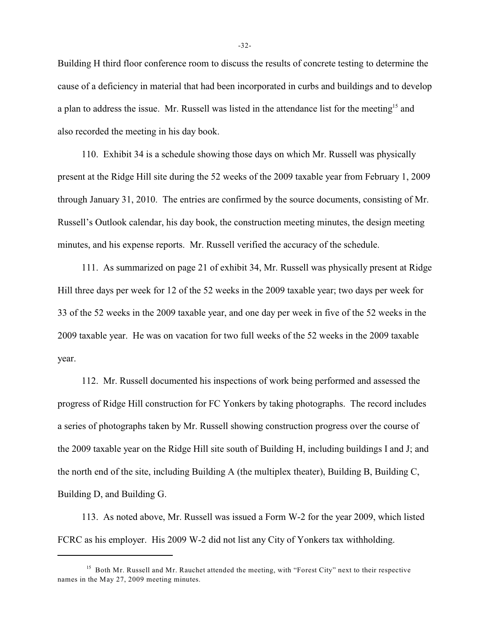Building H third floor conference room to discuss the results of concrete testing to determine the cause of a deficiency in material that had been incorporated in curbs and buildings and to develop a plan to address the issue. Mr. Russell was listed in the attendance list for the meeting<sup>15</sup> and also recorded the meeting in his day book.

110. Exhibit 34 is a schedule showing those days on which Mr. Russell was physically present at the Ridge Hill site during the 52 weeks of the 2009 taxable year from February 1, 2009 through January 31, 2010. The entries are confirmed by the source documents, consisting of Mr. Russell's Outlook calendar, his day book, the construction meeting minutes, the design meeting minutes, and his expense reports. Mr. Russell verified the accuracy of the schedule.

111. As summarized on page 21 of exhibit 34, Mr. Russell was physically present at Ridge Hill three days per week for 12 of the 52 weeks in the 2009 taxable year; two days per week for 33 of the 52 weeks in the 2009 taxable year, and one day per week in five of the 52 weeks in the 2009 taxable year. He was on vacation for two full weeks of the 52 weeks in the 2009 taxable year.

112. Mr. Russell documented his inspections of work being performed and assessed the progress of Ridge Hill construction for FC Yonkers by taking photographs. The record includes a series of photographs taken by Mr. Russell showing construction progress over the course of the 2009 taxable year on the Ridge Hill site south of Building H, including buildings I and J; and the north end of the site, including Building A (the multiplex theater), Building B, Building C, Building D, and Building G.

113. As noted above, Mr. Russell was issued a Form W-2 for the year 2009, which listed FCRC as his employer. His 2009 W-2 did not list any City of Yonkers tax withholding.

-32-

 $<sup>15</sup>$  Both Mr. Russell and Mr. Rauchet attended the meeting, with "Forest City" next to their respective</sup> names in the May 27, 2009 meeting minutes.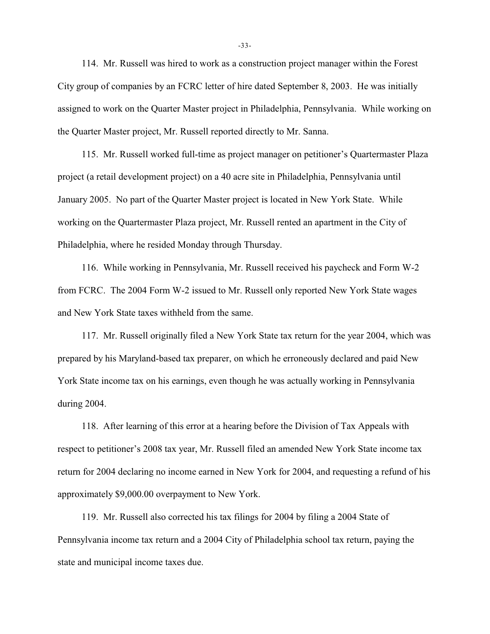114. Mr. Russell was hired to work as a construction project manager within the Forest City group of companies by an FCRC letter of hire dated September 8, 2003. He was initially assigned to work on the Quarter Master project in Philadelphia, Pennsylvania. While working on the Quarter Master project, Mr. Russell reported directly to Mr. Sanna.

115. Mr. Russell worked full-time as project manager on petitioner's Quartermaster Plaza project (a retail development project) on a 40 acre site in Philadelphia, Pennsylvania until January 2005. No part of the Quarter Master project is located in New York State. While working on the Quartermaster Plaza project, Mr. Russell rented an apartment in the City of Philadelphia, where he resided Monday through Thursday.

116. While working in Pennsylvania, Mr. Russell received his paycheck and Form W-2 from FCRC. The 2004 Form W-2 issued to Mr. Russell only reported New York State wages and New York State taxes withheld from the same.

117. Mr. Russell originally filed a New York State tax return for the year 2004, which was prepared by his Maryland-based tax preparer, on which he erroneously declared and paid New York State income tax on his earnings, even though he was actually working in Pennsylvania during 2004.

118. After learning of this error at a hearing before the Division of Tax Appeals with respect to petitioner's 2008 tax year, Mr. Russell filed an amended New York State income tax return for 2004 declaring no income earned in New York for 2004, and requesting a refund of his approximately \$9,000.00 overpayment to New York.

119. Mr. Russell also corrected his tax filings for 2004 by filing a 2004 State of Pennsylvania income tax return and a 2004 City of Philadelphia school tax return, paying the state and municipal income taxes due.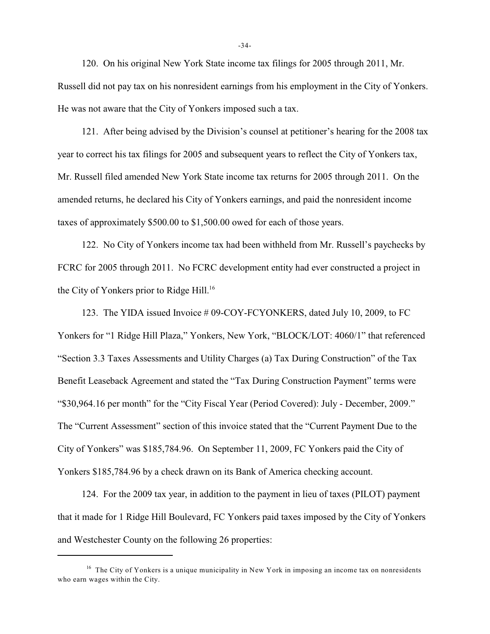120. On his original New York State income tax filings for 2005 through 2011, Mr. Russell did not pay tax on his nonresident earnings from his employment in the City of Yonkers. He was not aware that the City of Yonkers imposed such a tax.

121. After being advised by the Division's counsel at petitioner's hearing for the 2008 tax year to correct his tax filings for 2005 and subsequent years to reflect the City of Yonkers tax, Mr. Russell filed amended New York State income tax returns for 2005 through 2011. On the amended returns, he declared his City of Yonkers earnings, and paid the nonresident income taxes of approximately \$500.00 to \$1,500.00 owed for each of those years.

122. No City of Yonkers income tax had been withheld from Mr. Russell's paychecks by FCRC for 2005 through 2011. No FCRC development entity had ever constructed a project in the City of Yonkers prior to Ridge Hill.<sup>16</sup>

123. The YIDA issued Invoice # 09-COY-FCYONKERS, dated July 10, 2009, to FC Yonkers for "1 Ridge Hill Plaza," Yonkers, New York, "BLOCK/LOT: 4060/1" that referenced "Section 3.3 Taxes Assessments and Utility Charges (a) Tax During Construction" of the Tax Benefit Leaseback Agreement and stated the "Tax During Construction Payment" terms were "\$30,964.16 per month" for the "City Fiscal Year (Period Covered): July - December, 2009." The "Current Assessment" section of this invoice stated that the "Current Payment Due to the City of Yonkers" was \$185,784.96. On September 11, 2009, FC Yonkers paid the City of Yonkers \$185,784.96 by a check drawn on its Bank of America checking account.

124. For the 2009 tax year, in addition to the payment in lieu of taxes (PILOT) payment that it made for 1 Ridge Hill Boulevard, FC Yonkers paid taxes imposed by the City of Yonkers and Westchester County on the following 26 properties:

 $16$  The City of Yonkers is a unique municipality in New York in imposing an income tax on nonresidents who earn wages within the City.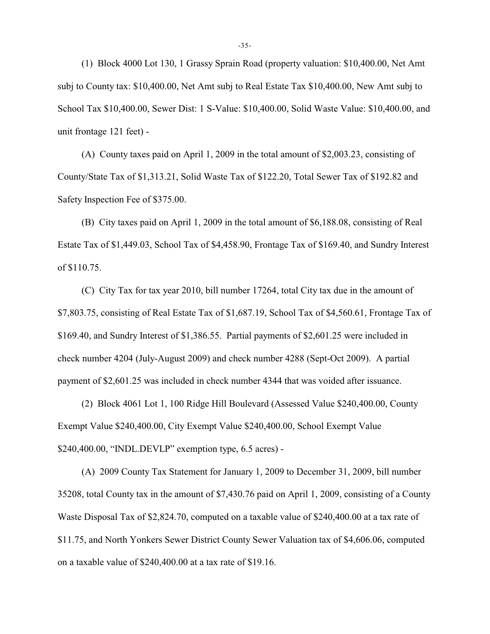(1) Block 4000 Lot 130, 1 Grassy Sprain Road (property valuation: \$10,400.00, Net Amt subj to County tax: \$10,400.00, Net Amt subj to Real Estate Tax \$10,400.00, New Amt subj to School Tax \$10,400.00, Sewer Dist: 1 S-Value: \$10,400.00, Solid Waste Value: \$10,400.00, and unit frontage 121 feet) -

(A) County taxes paid on April 1, 2009 in the total amount of \$2,003.23, consisting of County/State Tax of \$1,313.21, Solid Waste Tax of \$122.20, Total Sewer Tax of \$192.82 and Safety Inspection Fee of \$375.00.

(B) City taxes paid on April 1, 2009 in the total amount of \$6,188.08, consisting of Real Estate Tax of \$1,449.03, School Tax of \$4,458.90, Frontage Tax of \$169.40, and Sundry Interest of \$110.75.

(C) City Tax for tax year 2010, bill number 17264, total City tax due in the amount of \$7,803.75, consisting of Real Estate Tax of \$1,687.19, School Tax of \$4,560.61, Frontage Tax of \$169.40, and Sundry Interest of \$1,386.55. Partial payments of \$2,601.25 were included in check number 4204 (July-August 2009) and check number 4288 (Sept-Oct 2009). A partial payment of \$2,601.25 was included in check number 4344 that was voided after issuance.

(2) Block 4061 Lot 1, 100 Ridge Hill Boulevard (Assessed Value \$240,400.00, County Exempt Value \$240,400.00, City Exempt Value \$240,400.00, School Exempt Value \$240,400.00, "INDL.DEVLP" exemption type, 6.5 acres) -

(A) 2009 County Tax Statement for January 1, 2009 to December 31, 2009, bill number 35208, total County tax in the amount of \$7,430.76 paid on April 1, 2009, consisting of a County Waste Disposal Tax of \$2,824.70, computed on a taxable value of \$240,400.00 at a tax rate of \$11.75, and North Yonkers Sewer District County Sewer Valuation tax of \$4,606.06, computed on a taxable value of \$240,400.00 at a tax rate of \$19.16.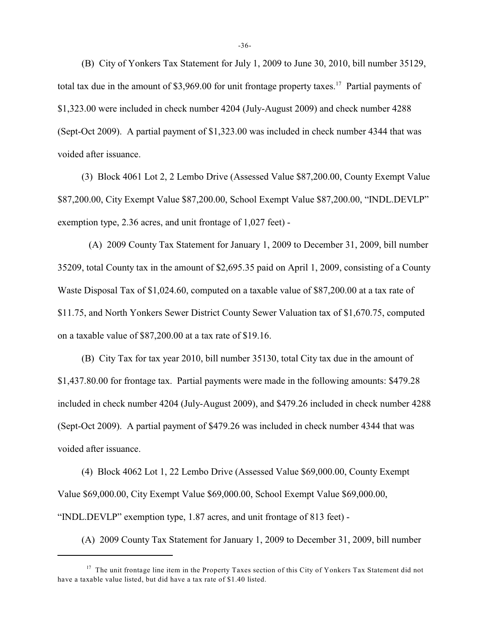(B) City of Yonkers Tax Statement for July 1, 2009 to June 30, 2010, bill number 35129, total tax due in the amount of \$3,969.00 for unit frontage property taxes.<sup>17</sup> Partial payments of \$1,323.00 were included in check number 4204 (July-August 2009) and check number 4288 (Sept-Oct 2009). A partial payment of \$1,323.00 was included in check number 4344 that was voided after issuance.

(3) Block 4061 Lot 2, 2 Lembo Drive (Assessed Value \$87,200.00, County Exempt Value \$87,200.00, City Exempt Value \$87,200.00, School Exempt Value \$87,200.00, "INDL.DEVLP" exemption type, 2.36 acres, and unit frontage of 1,027 feet) -

 (A) 2009 County Tax Statement for January 1, 2009 to December 31, 2009, bill number 35209, total County tax in the amount of \$2,695.35 paid on April 1, 2009, consisting of a County Waste Disposal Tax of \$1,024.60, computed on a taxable value of \$87,200.00 at a tax rate of \$11.75, and North Yonkers Sewer District County Sewer Valuation tax of \$1,670.75, computed on a taxable value of \$87,200.00 at a tax rate of \$19.16.

(B) City Tax for tax year 2010, bill number 35130, total City tax due in the amount of \$1,437.80.00 for frontage tax. Partial payments were made in the following amounts: \$479.28 included in check number 4204 (July-August 2009), and \$479.26 included in check number 4288 (Sept-Oct 2009). A partial payment of \$479.26 was included in check number 4344 that was voided after issuance.

(4) Block 4062 Lot 1, 22 Lembo Drive (Assessed Value \$69,000.00, County Exempt Value \$69,000.00, City Exempt Value \$69,000.00, School Exempt Value \$69,000.00, "INDL.DEVLP" exemption type, 1.87 acres, and unit frontage of 813 feet) -

(A) 2009 County Tax Statement for January 1, 2009 to December 31, 2009, bill number

 $17$  The unit frontage line item in the Property Taxes section of this City of Yonkers Tax Statement did not have a taxable value listed, but did have a tax rate of \$1.40 listed.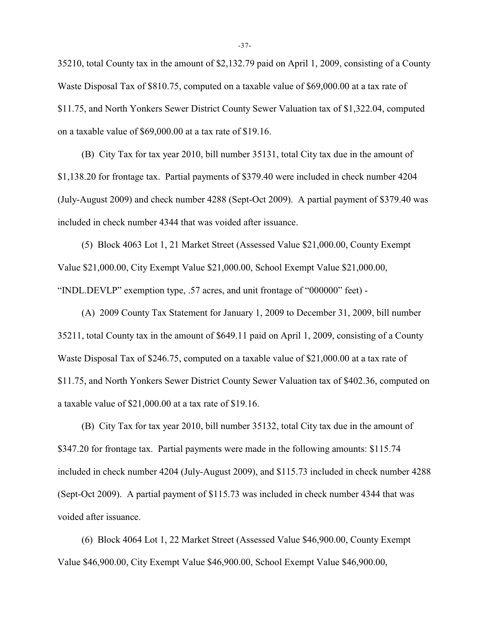35210, total County tax in the amount of \$2,132.79 paid on April 1, 2009, consisting of a County Waste Disposal Tax of \$810.75, computed on a taxable value of \$69,000.00 at a tax rate of \$11.75, and North Yonkers Sewer District County Sewer Valuation tax of \$1,322.04, computed on a taxable value of \$69,000.00 at a tax rate of \$19.16.

(B) City Tax for tax year 2010, bill number 35131, total City tax due in the amount of \$1,138.20 for frontage tax. Partial payments of \$379.40 were included in check number 4204 (July-August 2009) and check number 4288 (Sept-Oct 2009). A partial payment of \$379.40 was included in check number 4344 that was voided after issuance.

(5) Block 4063 Lot 1, 21 Market Street (Assessed Value \$21,000.00, County Exempt Value \$21,000.00, City Exempt Value \$21,000.00, School Exempt Value \$21,000.00, "INDL.DEVLP" exemption type, .57 acres, and unit frontage of "000000" feet) -

(A) 2009 County Tax Statement for January 1, 2009 to December 31, 2009, bill number 35211, total County tax in the amount of \$649.11 paid on April 1, 2009, consisting of a County Waste Disposal Tax of \$246.75, computed on a taxable value of \$21,000.00 at a tax rate of \$11.75, and North Yonkers Sewer District County Sewer Valuation tax of \$402.36, computed on a taxable value of \$21,000.00 at a tax rate of \$19.16.

(B) City Tax for tax year 2010, bill number 35132, total City tax due in the amount of \$347.20 for frontage tax. Partial payments were made in the following amounts: \$115.74 included in check number 4204 (July-August 2009), and \$115.73 included in check number 4288 (Sept-Oct 2009). A partial payment of \$115.73 was included in check number 4344 that was voided after issuance.

(6) Block 4064 Lot 1, 22 Market Street (Assessed Value \$46,900.00, County Exempt Value \$46,900.00, City Exempt Value \$46,900.00, School Exempt Value \$46,900.00,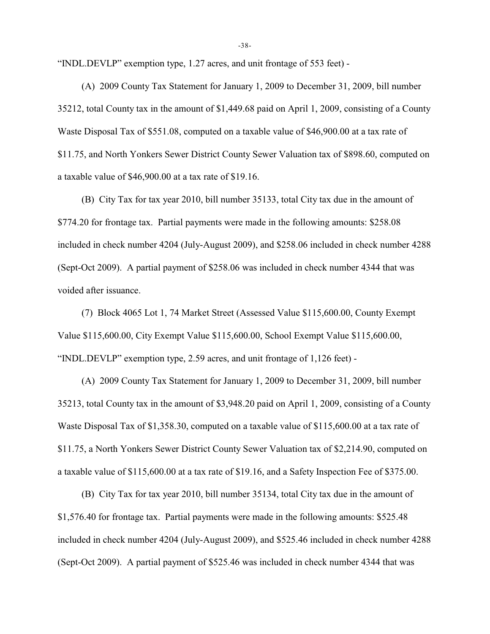"INDL.DEVLP" exemption type, 1.27 acres, and unit frontage of 553 feet) -

(A) 2009 County Tax Statement for January 1, 2009 to December 31, 2009, bill number 35212, total County tax in the amount of \$1,449.68 paid on April 1, 2009, consisting of a County Waste Disposal Tax of \$551.08, computed on a taxable value of \$46,900.00 at a tax rate of \$11.75, and North Yonkers Sewer District County Sewer Valuation tax of \$898.60, computed on a taxable value of \$46,900.00 at a tax rate of \$19.16.

(B) City Tax for tax year 2010, bill number 35133, total City tax due in the amount of \$774.20 for frontage tax. Partial payments were made in the following amounts: \$258.08 included in check number 4204 (July-August 2009), and \$258.06 included in check number 4288 (Sept-Oct 2009). A partial payment of \$258.06 was included in check number 4344 that was voided after issuance.

(7) Block 4065 Lot 1, 74 Market Street (Assessed Value \$115,600.00, County Exempt Value \$115,600.00, City Exempt Value \$115,600.00, School Exempt Value \$115,600.00, "INDL.DEVLP" exemption type, 2.59 acres, and unit frontage of 1,126 feet) -

(A) 2009 County Tax Statement for January 1, 2009 to December 31, 2009, bill number 35213, total County tax in the amount of \$3,948.20 paid on April 1, 2009, consisting of a County Waste Disposal Tax of \$1,358.30, computed on a taxable value of \$115,600.00 at a tax rate of \$11.75, a North Yonkers Sewer District County Sewer Valuation tax of \$2,214.90, computed on a taxable value of \$115,600.00 at a tax rate of \$19.16, and a Safety Inspection Fee of \$375.00.

(B) City Tax for tax year 2010, bill number 35134, total City tax due in the amount of \$1,576.40 for frontage tax. Partial payments were made in the following amounts: \$525.48 included in check number 4204 (July-August 2009), and \$525.46 included in check number 4288 (Sept-Oct 2009). A partial payment of \$525.46 was included in check number 4344 that was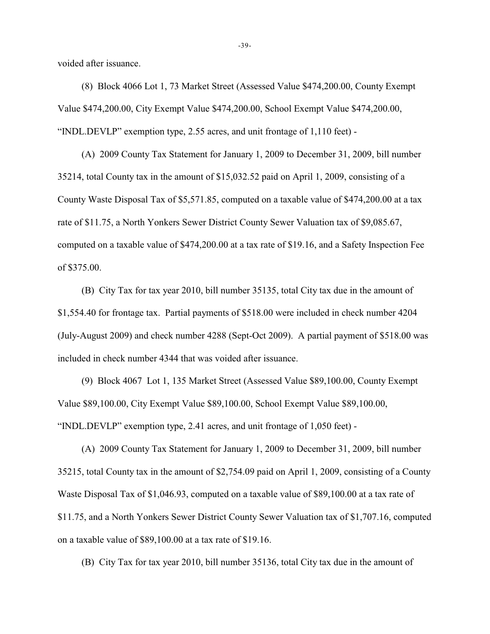voided after issuance.

(8) Block 4066 Lot 1, 73 Market Street (Assessed Value \$474,200.00, County Exempt Value \$474,200.00, City Exempt Value \$474,200.00, School Exempt Value \$474,200.00, "INDL.DEVLP" exemption type, 2.55 acres, and unit frontage of 1,110 feet) -

(A) 2009 County Tax Statement for January 1, 2009 to December 31, 2009, bill number 35214, total County tax in the amount of \$15,032.52 paid on April 1, 2009, consisting of a County Waste Disposal Tax of \$5,571.85, computed on a taxable value of \$474,200.00 at a tax rate of \$11.75, a North Yonkers Sewer District County Sewer Valuation tax of \$9,085.67, computed on a taxable value of \$474,200.00 at a tax rate of \$19.16, and a Safety Inspection Fee of \$375.00.

(B) City Tax for tax year 2010, bill number 35135, total City tax due in the amount of \$1,554.40 for frontage tax. Partial payments of \$518.00 were included in check number 4204 (July-August 2009) and check number 4288 (Sept-Oct 2009). A partial payment of \$518.00 was included in check number 4344 that was voided after issuance.

(9) Block 4067 Lot 1, 135 Market Street (Assessed Value \$89,100.00, County Exempt Value \$89,100.00, City Exempt Value \$89,100.00, School Exempt Value \$89,100.00, "INDL.DEVLP" exemption type, 2.41 acres, and unit frontage of 1,050 feet) -

(A) 2009 County Tax Statement for January 1, 2009 to December 31, 2009, bill number 35215, total County tax in the amount of \$2,754.09 paid on April 1, 2009, consisting of a County Waste Disposal Tax of \$1,046.93, computed on a taxable value of \$89,100.00 at a tax rate of \$11.75, and a North Yonkers Sewer District County Sewer Valuation tax of \$1,707.16, computed on a taxable value of \$89,100.00 at a tax rate of \$19.16.

(B) City Tax for tax year 2010, bill number 35136, total City tax due in the amount of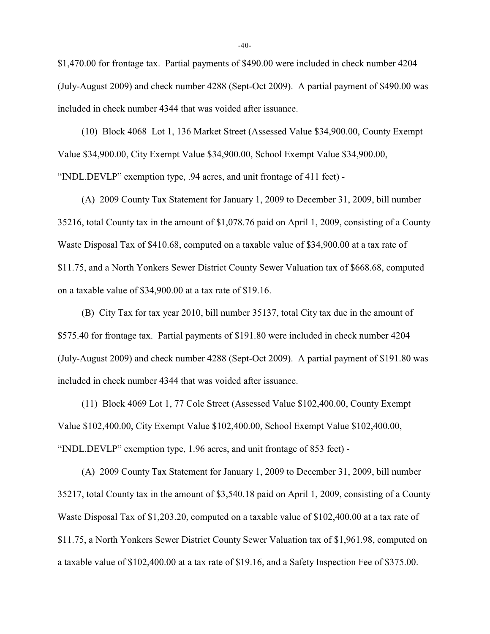\$1,470.00 for frontage tax. Partial payments of \$490.00 were included in check number 4204 (July-August 2009) and check number 4288 (Sept-Oct 2009). A partial payment of \$490.00 was included in check number 4344 that was voided after issuance.

(10) Block 4068 Lot 1, 136 Market Street (Assessed Value \$34,900.00, County Exempt Value \$34,900.00, City Exempt Value \$34,900.00, School Exempt Value \$34,900.00, "INDL.DEVLP" exemption type, .94 acres, and unit frontage of 411 feet) -

(A) 2009 County Tax Statement for January 1, 2009 to December 31, 2009, bill number 35216, total County tax in the amount of \$1,078.76 paid on April 1, 2009, consisting of a County Waste Disposal Tax of \$410.68, computed on a taxable value of \$34,900.00 at a tax rate of \$11.75, and a North Yonkers Sewer District County Sewer Valuation tax of \$668.68, computed on a taxable value of \$34,900.00 at a tax rate of \$19.16.

(B) City Tax for tax year 2010, bill number 35137, total City tax due in the amount of \$575.40 for frontage tax. Partial payments of \$191.80 were included in check number 4204 (July-August 2009) and check number 4288 (Sept-Oct 2009). A partial payment of \$191.80 was included in check number 4344 that was voided after issuance.

(11) Block 4069 Lot 1, 77 Cole Street (Assessed Value \$102,400.00, County Exempt Value \$102,400.00, City Exempt Value \$102,400.00, School Exempt Value \$102,400.00, "INDL.DEVLP" exemption type, 1.96 acres, and unit frontage of 853 feet) -

(A) 2009 County Tax Statement for January 1, 2009 to December 31, 2009, bill number 35217, total County tax in the amount of \$3,540.18 paid on April 1, 2009, consisting of a County Waste Disposal Tax of \$1,203.20, computed on a taxable value of \$102,400.00 at a tax rate of \$11.75, a North Yonkers Sewer District County Sewer Valuation tax of \$1,961.98, computed on a taxable value of \$102,400.00 at a tax rate of \$19.16, and a Safety Inspection Fee of \$375.00.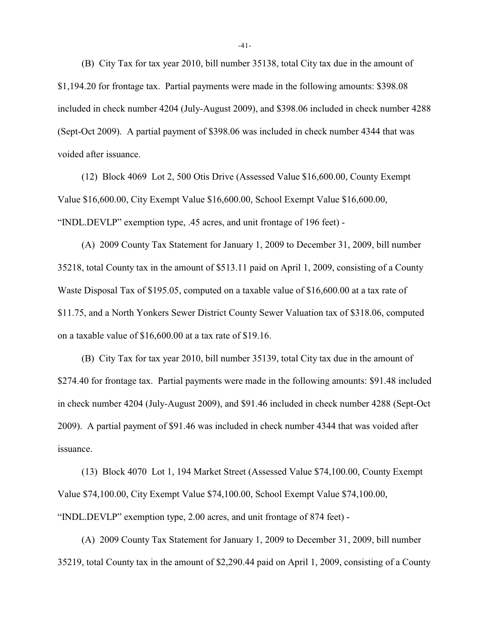(B) City Tax for tax year 2010, bill number 35138, total City tax due in the amount of \$1,194.20 for frontage tax. Partial payments were made in the following amounts: \$398.08 included in check number 4204 (July-August 2009), and \$398.06 included in check number 4288 (Sept-Oct 2009). A partial payment of \$398.06 was included in check number 4344 that was voided after issuance.

(12) Block 4069 Lot 2, 500 Otis Drive (Assessed Value \$16,600.00, County Exempt Value \$16,600.00, City Exempt Value \$16,600.00, School Exempt Value \$16,600.00, "INDL.DEVLP" exemption type, .45 acres, and unit frontage of 196 feet) -

(A) 2009 County Tax Statement for January 1, 2009 to December 31, 2009, bill number 35218, total County tax in the amount of \$513.11 paid on April 1, 2009, consisting of a County Waste Disposal Tax of \$195.05, computed on a taxable value of \$16,600.00 at a tax rate of \$11.75, and a North Yonkers Sewer District County Sewer Valuation tax of \$318.06, computed on a taxable value of \$16,600.00 at a tax rate of \$19.16.

(B) City Tax for tax year 2010, bill number 35139, total City tax due in the amount of \$274.40 for frontage tax. Partial payments were made in the following amounts: \$91.48 included in check number 4204 (July-August 2009), and \$91.46 included in check number 4288 (Sept-Oct 2009). A partial payment of \$91.46 was included in check number 4344 that was voided after issuance.

(13) Block 4070 Lot 1, 194 Market Street (Assessed Value \$74,100.00, County Exempt Value \$74,100.00, City Exempt Value \$74,100.00, School Exempt Value \$74,100.00, "INDL.DEVLP" exemption type, 2.00 acres, and unit frontage of 874 feet) -

(A) 2009 County Tax Statement for January 1, 2009 to December 31, 2009, bill number 35219, total County tax in the amount of \$2,290.44 paid on April 1, 2009, consisting of a County

-41-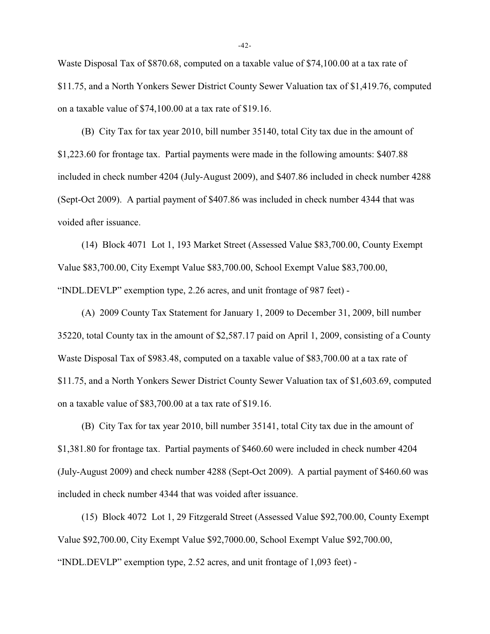Waste Disposal Tax of \$870.68, computed on a taxable value of \$74,100.00 at a tax rate of \$11.75, and a North Yonkers Sewer District County Sewer Valuation tax of \$1,419.76, computed on a taxable value of \$74,100.00 at a tax rate of \$19.16.

(B) City Tax for tax year 2010, bill number 35140, total City tax due in the amount of \$1,223.60 for frontage tax. Partial payments were made in the following amounts: \$407.88 included in check number 4204 (July-August 2009), and \$407.86 included in check number 4288 (Sept-Oct 2009). A partial payment of \$407.86 was included in check number 4344 that was voided after issuance.

(14) Block 4071 Lot 1, 193 Market Street (Assessed Value \$83,700.00, County Exempt Value \$83,700.00, City Exempt Value \$83,700.00, School Exempt Value \$83,700.00, "INDL.DEVLP" exemption type, 2.26 acres, and unit frontage of 987 feet) -

(A) 2009 County Tax Statement for January 1, 2009 to December 31, 2009, bill number 35220, total County tax in the amount of \$2,587.17 paid on April 1, 2009, consisting of a County Waste Disposal Tax of \$983.48, computed on a taxable value of \$83,700.00 at a tax rate of \$11.75, and a North Yonkers Sewer District County Sewer Valuation tax of \$1,603.69, computed on a taxable value of \$83,700.00 at a tax rate of \$19.16.

(B) City Tax for tax year 2010, bill number 35141, total City tax due in the amount of \$1,381.80 for frontage tax. Partial payments of \$460.60 were included in check number 4204 (July-August 2009) and check number 4288 (Sept-Oct 2009). A partial payment of \$460.60 was included in check number 4344 that was voided after issuance.

(15) Block 4072 Lot 1, 29 Fitzgerald Street (Assessed Value \$92,700.00, County Exempt Value \$92,700.00, City Exempt Value \$92,7000.00, School Exempt Value \$92,700.00, "INDL.DEVLP" exemption type, 2.52 acres, and unit frontage of 1,093 feet) -

-42-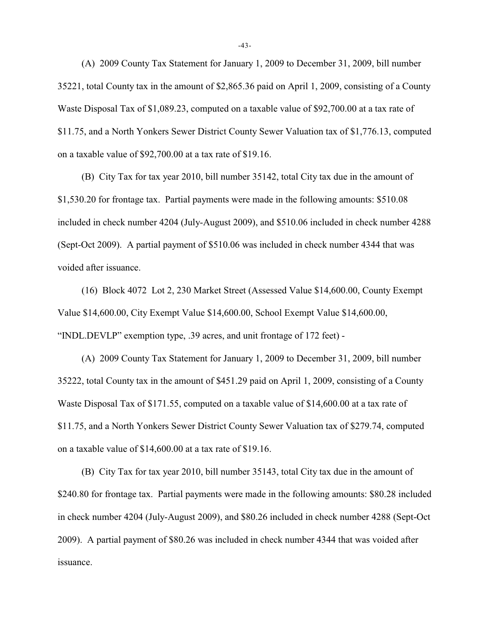(A) 2009 County Tax Statement for January 1, 2009 to December 31, 2009, bill number 35221, total County tax in the amount of \$2,865.36 paid on April 1, 2009, consisting of a County Waste Disposal Tax of \$1,089.23, computed on a taxable value of \$92,700.00 at a tax rate of \$11.75, and a North Yonkers Sewer District County Sewer Valuation tax of \$1,776.13, computed on a taxable value of \$92,700.00 at a tax rate of \$19.16.

(B) City Tax for tax year 2010, bill number 35142, total City tax due in the amount of \$1,530.20 for frontage tax. Partial payments were made in the following amounts: \$510.08 included in check number 4204 (July-August 2009), and \$510.06 included in check number 4288 (Sept-Oct 2009). A partial payment of \$510.06 was included in check number 4344 that was voided after issuance.

(16) Block 4072 Lot 2, 230 Market Street (Assessed Value \$14,600.00, County Exempt Value \$14,600.00, City Exempt Value \$14,600.00, School Exempt Value \$14,600.00, "INDL.DEVLP" exemption type, .39 acres, and unit frontage of 172 feet) -

(A) 2009 County Tax Statement for January 1, 2009 to December 31, 2009, bill number 35222, total County tax in the amount of \$451.29 paid on April 1, 2009, consisting of a County Waste Disposal Tax of \$171.55, computed on a taxable value of \$14,600.00 at a tax rate of \$11.75, and a North Yonkers Sewer District County Sewer Valuation tax of \$279.74, computed on a taxable value of \$14,600.00 at a tax rate of \$19.16.

(B) City Tax for tax year 2010, bill number 35143, total City tax due in the amount of \$240.80 for frontage tax. Partial payments were made in the following amounts: \$80.28 included in check number 4204 (July-August 2009), and \$80.26 included in check number 4288 (Sept-Oct 2009). A partial payment of \$80.26 was included in check number 4344 that was voided after issuance.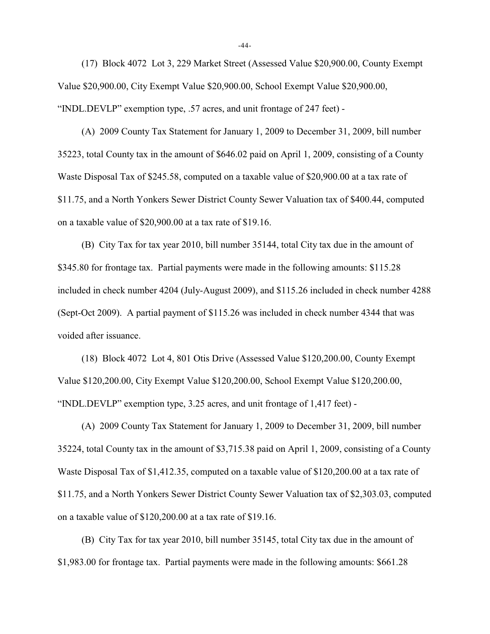(17) Block 4072 Lot 3, 229 Market Street (Assessed Value \$20,900.00, County Exempt Value \$20,900.00, City Exempt Value \$20,900.00, School Exempt Value \$20,900.00, "INDL.DEVLP" exemption type, .57 acres, and unit frontage of 247 feet) -

(A) 2009 County Tax Statement for January 1, 2009 to December 31, 2009, bill number 35223, total County tax in the amount of \$646.02 paid on April 1, 2009, consisting of a County Waste Disposal Tax of \$245.58, computed on a taxable value of \$20,900.00 at a tax rate of \$11.75, and a North Yonkers Sewer District County Sewer Valuation tax of \$400.44, computed on a taxable value of \$20,900.00 at a tax rate of \$19.16.

(B) City Tax for tax year 2010, bill number 35144, total City tax due in the amount of \$345.80 for frontage tax. Partial payments were made in the following amounts: \$115.28 included in check number 4204 (July-August 2009), and \$115.26 included in check number 4288 (Sept-Oct 2009). A partial payment of \$115.26 was included in check number 4344 that was voided after issuance.

(18) Block 4072 Lot 4, 801 Otis Drive (Assessed Value \$120,200.00, County Exempt Value \$120,200.00, City Exempt Value \$120,200.00, School Exempt Value \$120,200.00, "INDL.DEVLP" exemption type, 3.25 acres, and unit frontage of 1,417 feet) -

(A) 2009 County Tax Statement for January 1, 2009 to December 31, 2009, bill number 35224, total County tax in the amount of \$3,715.38 paid on April 1, 2009, consisting of a County Waste Disposal Tax of \$1,412.35, computed on a taxable value of \$120,200.00 at a tax rate of \$11.75, and a North Yonkers Sewer District County Sewer Valuation tax of \$2,303.03, computed on a taxable value of \$120,200.00 at a tax rate of \$19.16.

(B) City Tax for tax year 2010, bill number 35145, total City tax due in the amount of \$1,983.00 for frontage tax. Partial payments were made in the following amounts: \$661.28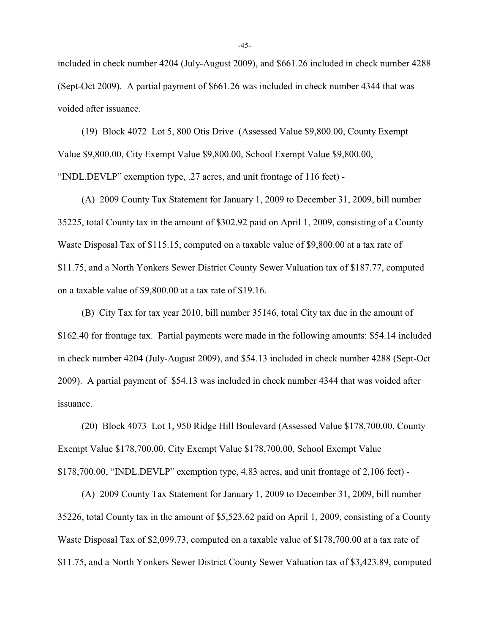included in check number 4204 (July-August 2009), and \$661.26 included in check number 4288 (Sept-Oct 2009). A partial payment of \$661.26 was included in check number 4344 that was voided after issuance.

(19) Block 4072 Lot 5, 800 Otis Drive (Assessed Value \$9,800.00, County Exempt Value \$9,800.00, City Exempt Value \$9,800.00, School Exempt Value \$9,800.00, "INDL.DEVLP" exemption type, .27 acres, and unit frontage of 116 feet) -

(A) 2009 County Tax Statement for January 1, 2009 to December 31, 2009, bill number 35225, total County tax in the amount of \$302.92 paid on April 1, 2009, consisting of a County Waste Disposal Tax of \$115.15, computed on a taxable value of \$9,800.00 at a tax rate of \$11.75, and a North Yonkers Sewer District County Sewer Valuation tax of \$187.77, computed on a taxable value of \$9,800.00 at a tax rate of \$19.16.

(B) City Tax for tax year 2010, bill number 35146, total City tax due in the amount of \$162.40 for frontage tax. Partial payments were made in the following amounts: \$54.14 included in check number 4204 (July-August 2009), and \$54.13 included in check number 4288 (Sept-Oct 2009). A partial payment of \$54.13 was included in check number 4344 that was voided after issuance.

(20) Block 4073 Lot 1, 950 Ridge Hill Boulevard (Assessed Value \$178,700.00, County Exempt Value \$178,700.00, City Exempt Value \$178,700.00, School Exempt Value \$178,700.00, "INDL.DEVLP" exemption type, 4.83 acres, and unit frontage of 2,106 feet) -

(A) 2009 County Tax Statement for January 1, 2009 to December 31, 2009, bill number 35226, total County tax in the amount of \$5,523.62 paid on April 1, 2009, consisting of a County Waste Disposal Tax of \$2,099.73, computed on a taxable value of \$178,700.00 at a tax rate of \$11.75, and a North Yonkers Sewer District County Sewer Valuation tax of \$3,423.89, computed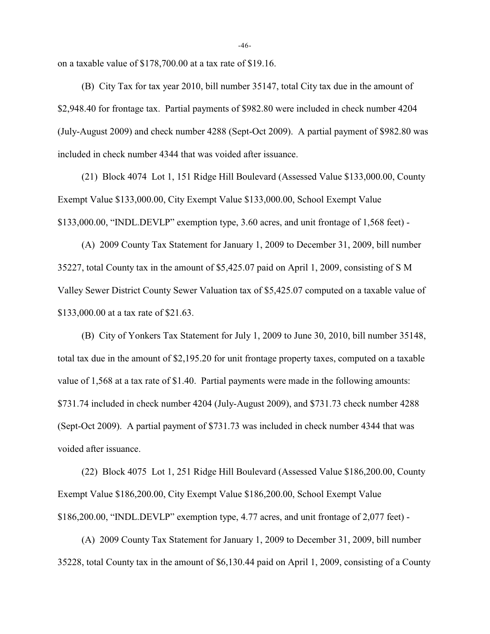on a taxable value of \$178,700.00 at a tax rate of \$19.16.

(B) City Tax for tax year 2010, bill number 35147, total City tax due in the amount of \$2,948.40 for frontage tax. Partial payments of \$982.80 were included in check number 4204 (July-August 2009) and check number 4288 (Sept-Oct 2009). A partial payment of \$982.80 was included in check number 4344 that was voided after issuance.

(21) Block 4074 Lot 1, 151 Ridge Hill Boulevard (Assessed Value \$133,000.00, County Exempt Value \$133,000.00, City Exempt Value \$133,000.00, School Exempt Value \$133,000.00, "INDL.DEVLP" exemption type, 3.60 acres, and unit frontage of 1,568 feet) -

(A) 2009 County Tax Statement for January 1, 2009 to December 31, 2009, bill number 35227, total County tax in the amount of \$5,425.07 paid on April 1, 2009, consisting of S M Valley Sewer District County Sewer Valuation tax of \$5,425.07 computed on a taxable value of \$133,000.00 at a tax rate of \$21.63.

(B) City of Yonkers Tax Statement for July 1, 2009 to June 30, 2010, bill number 35148, total tax due in the amount of \$2,195.20 for unit frontage property taxes, computed on a taxable value of 1,568 at a tax rate of \$1.40. Partial payments were made in the following amounts: \$731.74 included in check number 4204 (July-August 2009), and \$731.73 check number 4288 (Sept-Oct 2009). A partial payment of \$731.73 was included in check number 4344 that was voided after issuance.

(22) Block 4075 Lot 1, 251 Ridge Hill Boulevard (Assessed Value \$186,200.00, County Exempt Value \$186,200.00, City Exempt Value \$186,200.00, School Exempt Value \$186,200.00, "INDL.DEVLP" exemption type, 4.77 acres, and unit frontage of 2,077 feet) -

(A) 2009 County Tax Statement for January 1, 2009 to December 31, 2009, bill number 35228, total County tax in the amount of \$6,130.44 paid on April 1, 2009, consisting of a County

-46-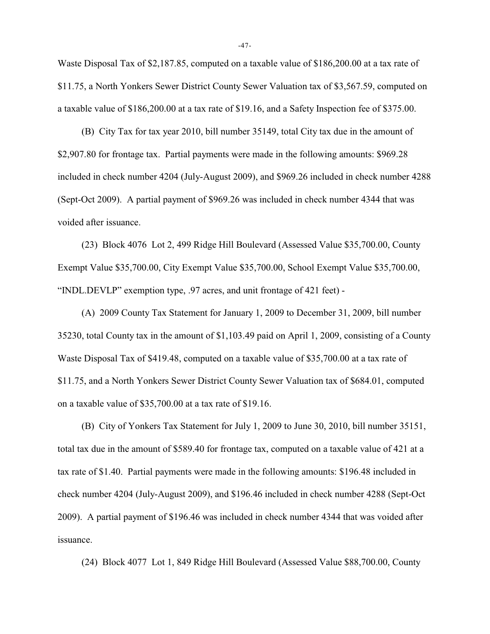Waste Disposal Tax of \$2,187.85, computed on a taxable value of \$186,200.00 at a tax rate of \$11.75, a North Yonkers Sewer District County Sewer Valuation tax of \$3,567.59, computed on a taxable value of \$186,200.00 at a tax rate of \$19.16, and a Safety Inspection fee of \$375.00.

(B) City Tax for tax year 2010, bill number 35149, total City tax due in the amount of \$2,907.80 for frontage tax. Partial payments were made in the following amounts: \$969.28 included in check number 4204 (July-August 2009), and \$969.26 included in check number 4288 (Sept-Oct 2009). A partial payment of \$969.26 was included in check number 4344 that was voided after issuance.

(23) Block 4076 Lot 2, 499 Ridge Hill Boulevard (Assessed Value \$35,700.00, County Exempt Value \$35,700.00, City Exempt Value \$35,700.00, School Exempt Value \$35,700.00, "INDL.DEVLP" exemption type, .97 acres, and unit frontage of 421 feet) -

(A) 2009 County Tax Statement for January 1, 2009 to December 31, 2009, bill number 35230, total County tax in the amount of \$1,103.49 paid on April 1, 2009, consisting of a County Waste Disposal Tax of \$419.48, computed on a taxable value of \$35,700.00 at a tax rate of \$11.75, and a North Yonkers Sewer District County Sewer Valuation tax of \$684.01, computed on a taxable value of \$35,700.00 at a tax rate of \$19.16.

(B) City of Yonkers Tax Statement for July 1, 2009 to June 30, 2010, bill number 35151, total tax due in the amount of \$589.40 for frontage tax, computed on a taxable value of 421 at a tax rate of \$1.40. Partial payments were made in the following amounts: \$196.48 included in check number 4204 (July-August 2009), and \$196.46 included in check number 4288 (Sept-Oct 2009). A partial payment of \$196.46 was included in check number 4344 that was voided after issuance.

(24) Block 4077 Lot 1, 849 Ridge Hill Boulevard (Assessed Value \$88,700.00, County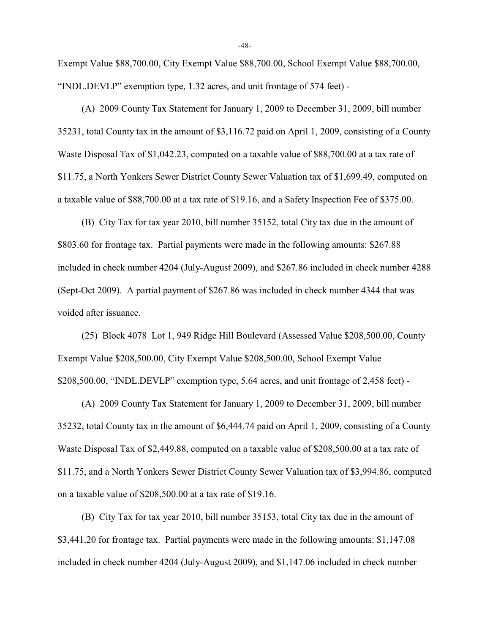Exempt Value \$88,700.00, City Exempt Value \$88,700.00, School Exempt Value \$88,700.00, "INDL.DEVLP" exemption type, 1.32 acres, and unit frontage of 574 feet) -

(A) 2009 County Tax Statement for January 1, 2009 to December 31, 2009, bill number 35231, total County tax in the amount of \$3,116.72 paid on April 1, 2009, consisting of a County Waste Disposal Tax of \$1,042.23, computed on a taxable value of \$88,700.00 at a tax rate of \$11.75, a North Yonkers Sewer District County Sewer Valuation tax of \$1,699.49, computed on a taxable value of \$88,700.00 at a tax rate of \$19.16, and a Safety Inspection Fee of \$375.00.

(B) City Tax for tax year 2010, bill number 35152, total City tax due in the amount of \$803.60 for frontage tax. Partial payments were made in the following amounts: \$267.88 included in check number 4204 (July-August 2009), and \$267.86 included in check number 4288 (Sept-Oct 2009). A partial payment of \$267.86 was included in check number 4344 that was voided after issuance.

(25) Block 4078 Lot 1, 949 Ridge Hill Boulevard (Assessed Value \$208,500.00, County Exempt Value \$208,500.00, City Exempt Value \$208,500.00, School Exempt Value \$208,500.00, "INDL.DEVLP" exemption type, 5.64 acres, and unit frontage of 2,458 feet) -

(A) 2009 County Tax Statement for January 1, 2009 to December 31, 2009, bill number 35232, total County tax in the amount of \$6,444.74 paid on April 1, 2009, consisting of a County Waste Disposal Tax of \$2,449.88, computed on a taxable value of \$208,500.00 at a tax rate of \$11.75, and a North Yonkers Sewer District County Sewer Valuation tax of \$3,994.86, computed on a taxable value of \$208,500.00 at a tax rate of \$19.16.

(B) City Tax for tax year 2010, bill number 35153, total City tax due in the amount of \$3,441.20 for frontage tax. Partial payments were made in the following amounts: \$1,147.08 included in check number 4204 (July-August 2009), and \$1,147.06 included in check number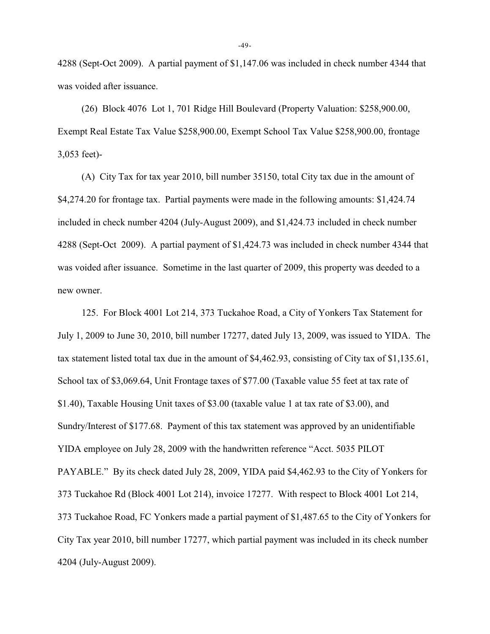4288 (Sept-Oct 2009). A partial payment of \$1,147.06 was included in check number 4344 that was voided after issuance.

(26) Block 4076 Lot 1, 701 Ridge Hill Boulevard (Property Valuation: \$258,900.00, Exempt Real Estate Tax Value \$258,900.00, Exempt School Tax Value \$258,900.00, frontage 3,053 feet)-

(A) City Tax for tax year 2010, bill number 35150, total City tax due in the amount of \$4,274.20 for frontage tax. Partial payments were made in the following amounts: \$1,424.74 included in check number 4204 (July-August 2009), and \$1,424.73 included in check number 4288 (Sept-Oct 2009). A partial payment of \$1,424.73 was included in check number 4344 that was voided after issuance. Sometime in the last quarter of 2009, this property was deeded to a new owner.

125. For Block 4001 Lot 214, 373 Tuckahoe Road, a City of Yonkers Tax Statement for July 1, 2009 to June 30, 2010, bill number 17277, dated July 13, 2009, was issued to YIDA. The tax statement listed total tax due in the amount of \$4,462.93, consisting of City tax of \$1,135.61, School tax of \$3,069.64, Unit Frontage taxes of \$77.00 (Taxable value 55 feet at tax rate of \$1.40), Taxable Housing Unit taxes of \$3.00 (taxable value 1 at tax rate of \$3.00), and Sundry/Interest of \$177.68. Payment of this tax statement was approved by an unidentifiable YIDA employee on July 28, 2009 with the handwritten reference "Acct. 5035 PILOT PAYABLE." By its check dated July 28, 2009, YIDA paid \$4,462.93 to the City of Yonkers for 373 Tuckahoe Rd (Block 4001 Lot 214), invoice 17277. With respect to Block 4001 Lot 214, 373 Tuckahoe Road, FC Yonkers made a partial payment of \$1,487.65 to the City of Yonkers for City Tax year 2010, bill number 17277, which partial payment was included in its check number 4204 (July-August 2009).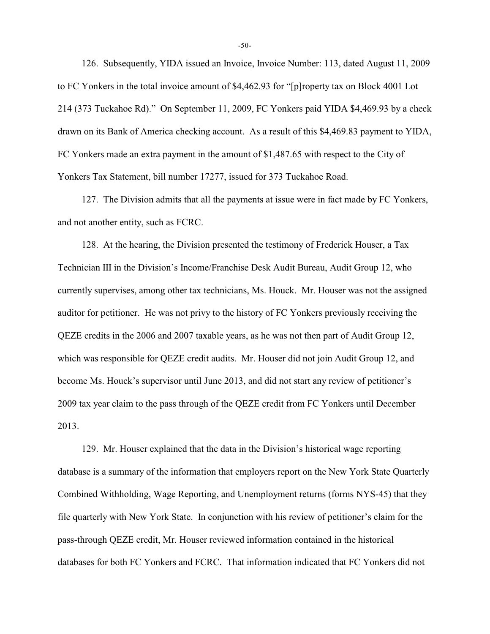126. Subsequently, YIDA issued an Invoice, Invoice Number: 113, dated August 11, 2009 to FC Yonkers in the total invoice amount of \$4,462.93 for "[p]roperty tax on Block 4001 Lot 214 (373 Tuckahoe Rd)." On September 11, 2009, FC Yonkers paid YIDA \$4,469.93 by a check drawn on its Bank of America checking account. As a result of this \$4,469.83 payment to YIDA, FC Yonkers made an extra payment in the amount of \$1,487.65 with respect to the City of Yonkers Tax Statement, bill number 17277, issued for 373 Tuckahoe Road.

127. The Division admits that all the payments at issue were in fact made by FC Yonkers, and not another entity, such as FCRC.

128. At the hearing, the Division presented the testimony of Frederick Houser, a Tax Technician III in the Division's Income/Franchise Desk Audit Bureau, Audit Group 12, who currently supervises, among other tax technicians, Ms. Houck. Mr. Houser was not the assigned auditor for petitioner. He was not privy to the history of FC Yonkers previously receiving the QEZE credits in the 2006 and 2007 taxable years, as he was not then part of Audit Group 12, which was responsible for QEZE credit audits. Mr. Houser did not join Audit Group 12, and become Ms. Houck's supervisor until June 2013, and did not start any review of petitioner's 2009 tax year claim to the pass through of the QEZE credit from FC Yonkers until December 2013.

129. Mr. Houser explained that the data in the Division's historical wage reporting database is a summary of the information that employers report on the New York State Quarterly Combined Withholding, Wage Reporting, and Unemployment returns (forms NYS-45) that they file quarterly with New York State. In conjunction with his review of petitioner's claim for the pass-through QEZE credit, Mr. Houser reviewed information contained in the historical databases for both FC Yonkers and FCRC. That information indicated that FC Yonkers did not

-50-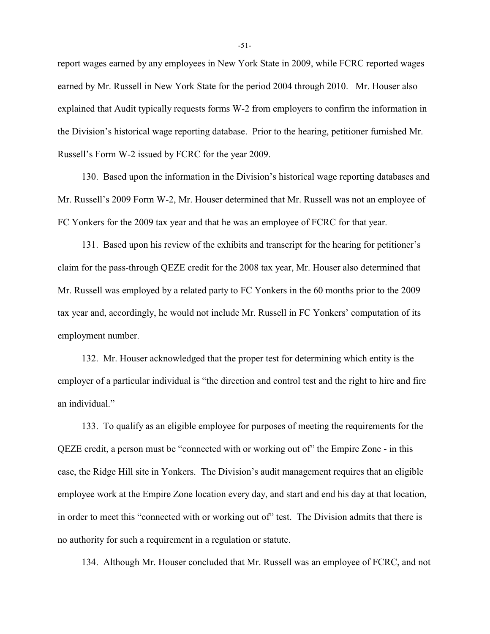report wages earned by any employees in New York State in 2009, while FCRC reported wages earned by Mr. Russell in New York State for the period 2004 through 2010. Mr. Houser also explained that Audit typically requests forms W-2 from employers to confirm the information in the Division's historical wage reporting database. Prior to the hearing, petitioner furnished Mr. Russell's Form W-2 issued by FCRC for the year 2009.

130. Based upon the information in the Division's historical wage reporting databases and Mr. Russell's 2009 Form W-2, Mr. Houser determined that Mr. Russell was not an employee of FC Yonkers for the 2009 tax year and that he was an employee of FCRC for that year.

131. Based upon his review of the exhibits and transcript for the hearing for petitioner's claim for the pass-through QEZE credit for the 2008 tax year, Mr. Houser also determined that Mr. Russell was employed by a related party to FC Yonkers in the 60 months prior to the 2009 tax year and, accordingly, he would not include Mr. Russell in FC Yonkers' computation of its employment number.

132. Mr. Houser acknowledged that the proper test for determining which entity is the employer of a particular individual is "the direction and control test and the right to hire and fire an individual."

133. To qualify as an eligible employee for purposes of meeting the requirements for the QEZE credit, a person must be "connected with or working out of" the Empire Zone - in this case, the Ridge Hill site in Yonkers. The Division's audit management requires that an eligible employee work at the Empire Zone location every day, and start and end his day at that location, in order to meet this "connected with or working out of" test. The Division admits that there is no authority for such a requirement in a regulation or statute.

134. Although Mr. Houser concluded that Mr. Russell was an employee of FCRC, and not

-51-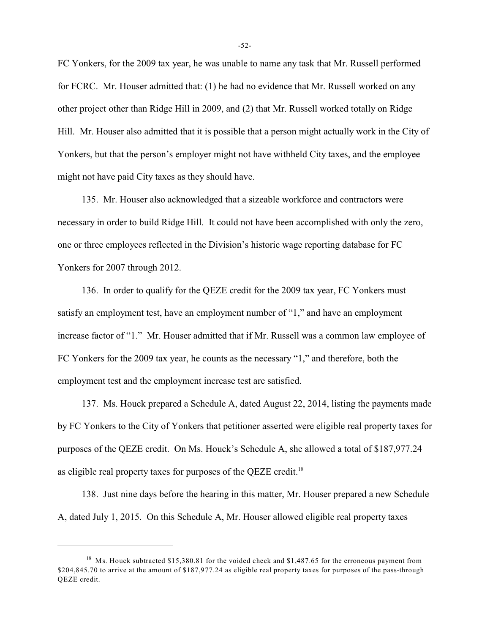FC Yonkers, for the 2009 tax year, he was unable to name any task that Mr. Russell performed for FCRC. Mr. Houser admitted that: (1) he had no evidence that Mr. Russell worked on any other project other than Ridge Hill in 2009, and (2) that Mr. Russell worked totally on Ridge Hill. Mr. Houser also admitted that it is possible that a person might actually work in the City of Yonkers, but that the person's employer might not have withheld City taxes, and the employee might not have paid City taxes as they should have.

135. Mr. Houser also acknowledged that a sizeable workforce and contractors were necessary in order to build Ridge Hill. It could not have been accomplished with only the zero, one or three employees reflected in the Division's historic wage reporting database for FC Yonkers for 2007 through 2012.

136. In order to qualify for the QEZE credit for the 2009 tax year, FC Yonkers must satisfy an employment test, have an employment number of "1," and have an employment increase factor of "1." Mr. Houser admitted that if Mr. Russell was a common law employee of FC Yonkers for the 2009 tax year, he counts as the necessary "1," and therefore, both the employment test and the employment increase test are satisfied.

137. Ms. Houck prepared a Schedule A, dated August 22, 2014, listing the payments made by FC Yonkers to the City of Yonkers that petitioner asserted were eligible real property taxes for purposes of the QEZE credit. On Ms. Houck's Schedule A, she allowed a total of \$187,977.24 as eligible real property taxes for purposes of the QEZE credit.<sup>18</sup>

138. Just nine days before the hearing in this matter, Mr. Houser prepared a new Schedule A, dated July 1, 2015. On this Schedule A, Mr. Houser allowed eligible real property taxes

<sup>&</sup>lt;sup>18</sup> Ms. Houck subtracted \$15,380.81 for the voided check and \$1,487.65 for the erroneous payment from \$204,845.70 to arrive at the amount of \$187,977.24 as eligible real property taxes for purposes of the pass-through QEZE credit.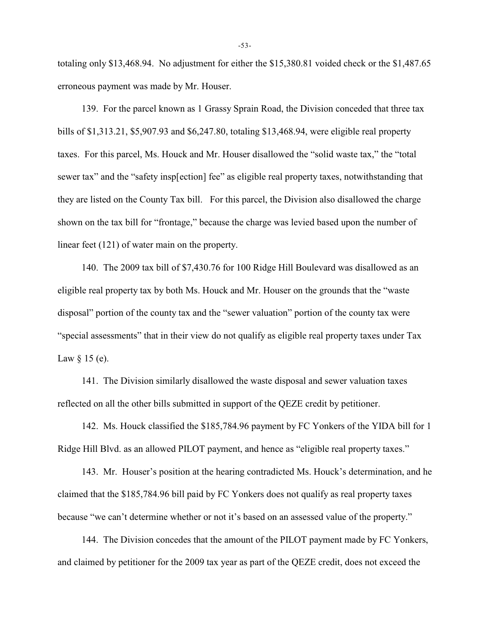totaling only \$13,468.94. No adjustment for either the \$15,380.81 voided check or the \$1,487.65 erroneous payment was made by Mr. Houser.

139. For the parcel known as 1 Grassy Sprain Road, the Division conceded that three tax bills of \$1,313.21, \$5,907.93 and \$6,247.80, totaling \$13,468.94, were eligible real property taxes. For this parcel, Ms. Houck and Mr. Houser disallowed the "solid waste tax," the "total sewer tax" and the "safety insp[ection] fee" as eligible real property taxes, notwithstanding that they are listed on the County Tax bill. For this parcel, the Division also disallowed the charge shown on the tax bill for "frontage," because the charge was levied based upon the number of linear feet (121) of water main on the property.

140. The 2009 tax bill of \$7,430.76 for 100 Ridge Hill Boulevard was disallowed as an eligible real property tax by both Ms. Houck and Mr. Houser on the grounds that the "waste disposal" portion of the county tax and the "sewer valuation" portion of the county tax were "special assessments" that in their view do not qualify as eligible real property taxes under Tax Law  $\S$  15 (e).

141. The Division similarly disallowed the waste disposal and sewer valuation taxes reflected on all the other bills submitted in support of the QEZE credit by petitioner.

142. Ms. Houck classified the \$185,784.96 payment by FC Yonkers of the YIDA bill for 1 Ridge Hill Blvd. as an allowed PILOT payment, and hence as "eligible real property taxes."

143. Mr. Houser's position at the hearing contradicted Ms. Houck's determination, and he claimed that the \$185,784.96 bill paid by FC Yonkers does not qualify as real property taxes because "we can't determine whether or not it's based on an assessed value of the property."

144. The Division concedes that the amount of the PILOT payment made by FC Yonkers, and claimed by petitioner for the 2009 tax year as part of the QEZE credit, does not exceed the

-53-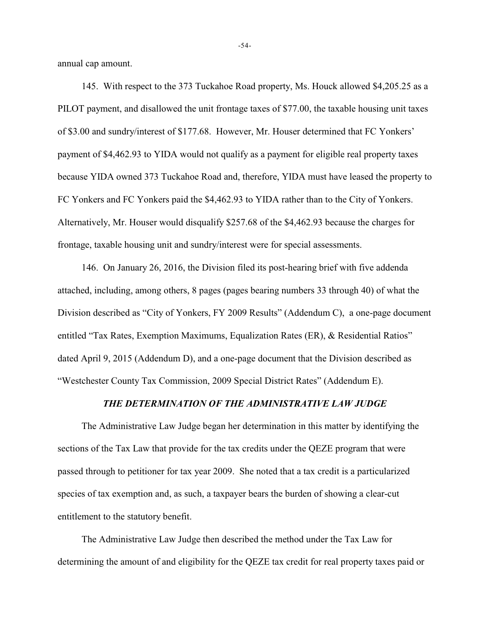annual cap amount.

145. With respect to the 373 Tuckahoe Road property, Ms. Houck allowed \$4,205.25 as a PILOT payment, and disallowed the unit frontage taxes of \$77.00, the taxable housing unit taxes of \$3.00 and sundry/interest of \$177.68. However, Mr. Houser determined that FC Yonkers' payment of \$4,462.93 to YIDA would not qualify as a payment for eligible real property taxes because YIDA owned 373 Tuckahoe Road and, therefore, YIDA must have leased the property to FC Yonkers and FC Yonkers paid the \$4,462.93 to YIDA rather than to the City of Yonkers. Alternatively, Mr. Houser would disqualify \$257.68 of the \$4,462.93 because the charges for frontage, taxable housing unit and sundry/interest were for special assessments.

146. On January 26, 2016, the Division filed its post-hearing brief with five addenda attached, including, among others, 8 pages (pages bearing numbers 33 through 40) of what the Division described as "City of Yonkers, FY 2009 Results" (Addendum C), a one-page document entitled "Tax Rates, Exemption Maximums, Equalization Rates (ER), & Residential Ratios" dated April 9, 2015 (Addendum D), and a one-page document that the Division described as "Westchester County Tax Commission, 2009 Special District Rates" (Addendum E).

### *THE DETERMINATION OF THE ADMINISTRATIVE LAW JUDGE*

The Administrative Law Judge began her determination in this matter by identifying the sections of the Tax Law that provide for the tax credits under the QEZE program that were passed through to petitioner for tax year 2009. She noted that a tax credit is a particularized species of tax exemption and, as such, a taxpayer bears the burden of showing a clear-cut entitlement to the statutory benefit.

The Administrative Law Judge then described the method under the Tax Law for determining the amount of and eligibility for the QEZE tax credit for real property taxes paid or

-54-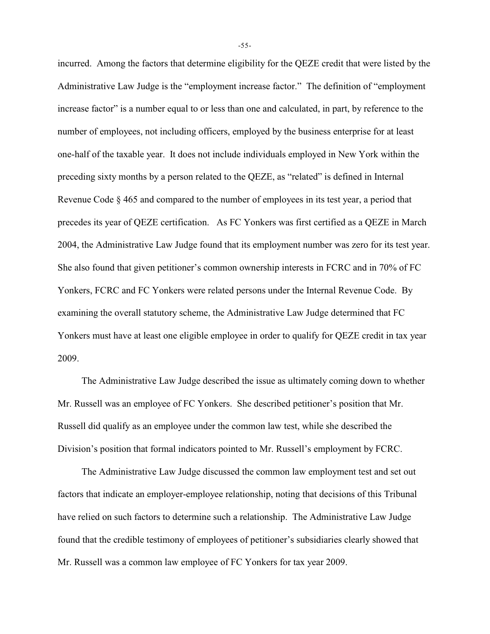incurred. Among the factors that determine eligibility for the QEZE credit that were listed by the Administrative Law Judge is the "employment increase factor." The definition of "employment increase factor" is a number equal to or less than one and calculated, in part, by reference to the number of employees, not including officers, employed by the business enterprise for at least one-half of the taxable year. It does not include individuals employed in New York within the preceding sixty months by a person related to the QEZE, as "related" is defined in Internal Revenue Code § 465 and compared to the number of employees in its test year, a period that precedes its year of QEZE certification. As FC Yonkers was first certified as a QEZE in March 2004, the Administrative Law Judge found that its employment number was zero for its test year. She also found that given petitioner's common ownership interests in FCRC and in 70% of FC Yonkers, FCRC and FC Yonkers were related persons under the Internal Revenue Code. By examining the overall statutory scheme, the Administrative Law Judge determined that FC Yonkers must have at least one eligible employee in order to qualify for QEZE credit in tax year 2009.

The Administrative Law Judge described the issue as ultimately coming down to whether Mr. Russell was an employee of FC Yonkers. She described petitioner's position that Mr. Russell did qualify as an employee under the common law test, while she described the Division's position that formal indicators pointed to Mr. Russell's employment by FCRC.

The Administrative Law Judge discussed the common law employment test and set out factors that indicate an employer-employee relationship, noting that decisions of this Tribunal have relied on such factors to determine such a relationship. The Administrative Law Judge found that the credible testimony of employees of petitioner's subsidiaries clearly showed that Mr. Russell was a common law employee of FC Yonkers for tax year 2009.

-55-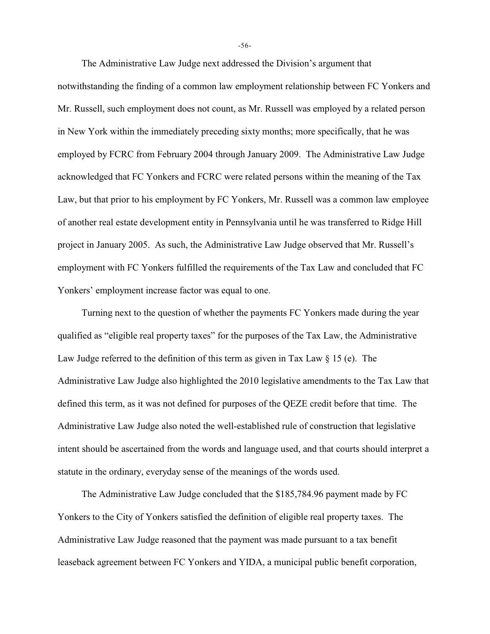The Administrative Law Judge next addressed the Division's argument that notwithstanding the finding of a common law employment relationship between FC Yonkers and Mr. Russell, such employment does not count, as Mr. Russell was employed by a related person in New York within the immediately preceding sixty months; more specifically, that he was employed by FCRC from February 2004 through January 2009. The Administrative Law Judge acknowledged that FC Yonkers and FCRC were related persons within the meaning of the Tax Law, but that prior to his employment by FC Yonkers, Mr. Russell was a common law employee of another real estate development entity in Pennsylvania until he was transferred to Ridge Hill project in January 2005. As such, the Administrative Law Judge observed that Mr. Russell's employment with FC Yonkers fulfilled the requirements of the Tax Law and concluded that FC Yonkers' employment increase factor was equal to one.

Turning next to the question of whether the payments FC Yonkers made during the year qualified as "eligible real property taxes" for the purposes of the Tax Law, the Administrative Law Judge referred to the definition of this term as given in Tax Law § 15 (e). The Administrative Law Judge also highlighted the 2010 legislative amendments to the Tax Law that defined this term, as it was not defined for purposes of the QEZE credit before that time. The Administrative Law Judge also noted the well-established rule of construction that legislative intent should be ascertained from the words and language used, and that courts should interpret a statute in the ordinary, everyday sense of the meanings of the words used.

The Administrative Law Judge concluded that the \$185,784.96 payment made by FC Yonkers to the City of Yonkers satisfied the definition of eligible real property taxes. The Administrative Law Judge reasoned that the payment was made pursuant to a tax benefit leaseback agreement between FC Yonkers and YIDA, a municipal public benefit corporation,

-56-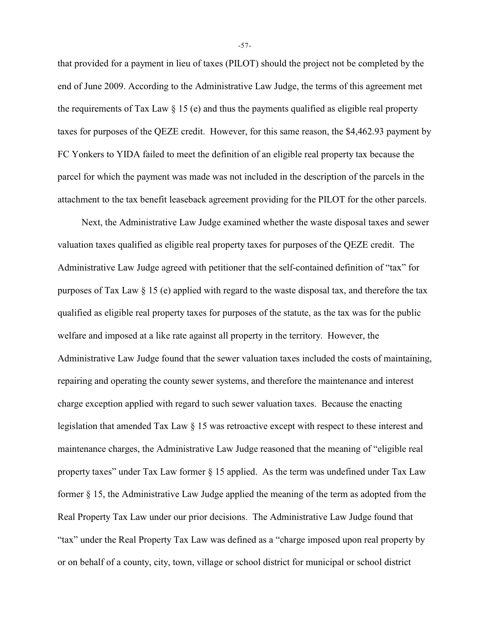that provided for a payment in lieu of taxes (PILOT) should the project not be completed by the end of June 2009. According to the Administrative Law Judge, the terms of this agreement met the requirements of Tax Law  $\S$  15 (e) and thus the payments qualified as eligible real property taxes for purposes of the QEZE credit. However, for this same reason, the \$4,462.93 payment by FC Yonkers to YIDA failed to meet the definition of an eligible real property tax because the parcel for which the payment was made was not included in the description of the parcels in the attachment to the tax benefit leaseback agreement providing for the PILOT for the other parcels.

Next, the Administrative Law Judge examined whether the waste disposal taxes and sewer valuation taxes qualified as eligible real property taxes for purposes of the QEZE credit. The Administrative Law Judge agreed with petitioner that the self-contained definition of "tax" for purposes of Tax Law § 15 (e) applied with regard to the waste disposal tax, and therefore the tax qualified as eligible real property taxes for purposes of the statute, as the tax was for the public welfare and imposed at a like rate against all property in the territory. However, the Administrative Law Judge found that the sewer valuation taxes included the costs of maintaining, repairing and operating the county sewer systems, and therefore the maintenance and interest charge exception applied with regard to such sewer valuation taxes. Because the enacting legislation that amended Tax Law § 15 was retroactive except with respect to these interest and maintenance charges, the Administrative Law Judge reasoned that the meaning of "eligible real property taxes" under Tax Law former § 15 applied. As the term was undefined under Tax Law former § 15, the Administrative Law Judge applied the meaning of the term as adopted from the Real Property Tax Law under our prior decisions. The Administrative Law Judge found that "tax" under the Real Property Tax Law was defined as a "charge imposed upon real property by or on behalf of a county, city, town, village or school district for municipal or school district

-57-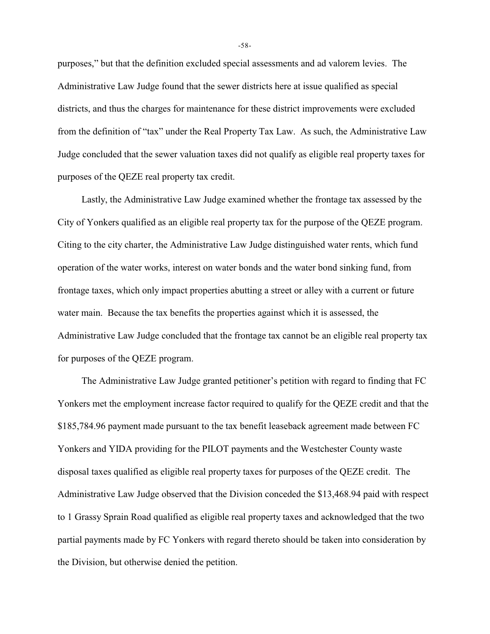purposes," but that the definition excluded special assessments and ad valorem levies. The Administrative Law Judge found that the sewer districts here at issue qualified as special districts, and thus the charges for maintenance for these district improvements were excluded from the definition of "tax" under the Real Property Tax Law. As such, the Administrative Law Judge concluded that the sewer valuation taxes did not qualify as eligible real property taxes for purposes of the QEZE real property tax credit.

Lastly, the Administrative Law Judge examined whether the frontage tax assessed by the City of Yonkers qualified as an eligible real property tax for the purpose of the QEZE program. Citing to the city charter, the Administrative Law Judge distinguished water rents, which fund operation of the water works, interest on water bonds and the water bond sinking fund, from frontage taxes, which only impact properties abutting a street or alley with a current or future water main. Because the tax benefits the properties against which it is assessed, the Administrative Law Judge concluded that the frontage tax cannot be an eligible real property tax for purposes of the QEZE program.

The Administrative Law Judge granted petitioner's petition with regard to finding that FC Yonkers met the employment increase factor required to qualify for the QEZE credit and that the \$185,784.96 payment made pursuant to the tax benefit leaseback agreement made between FC Yonkers and YIDA providing for the PILOT payments and the Westchester County waste disposal taxes qualified as eligible real property taxes for purposes of the QEZE credit. The Administrative Law Judge observed that the Division conceded the \$13,468.94 paid with respect to 1 Grassy Sprain Road qualified as eligible real property taxes and acknowledged that the two partial payments made by FC Yonkers with regard thereto should be taken into consideration by the Division, but otherwise denied the petition.

-58-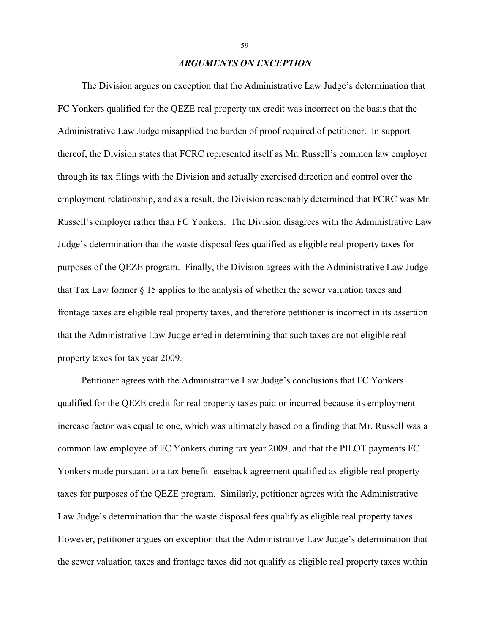## *ARGUMENTS ON EXCEPTION*

The Division argues on exception that the Administrative Law Judge's determination that FC Yonkers qualified for the QEZE real property tax credit was incorrect on the basis that the Administrative Law Judge misapplied the burden of proof required of petitioner. In support thereof, the Division states that FCRC represented itself as Mr. Russell's common law employer through its tax filings with the Division and actually exercised direction and control over the employment relationship, and as a result, the Division reasonably determined that FCRC was Mr. Russell's employer rather than FC Yonkers. The Division disagrees with the Administrative Law Judge's determination that the waste disposal fees qualified as eligible real property taxes for purposes of the QEZE program. Finally, the Division agrees with the Administrative Law Judge that Tax Law former § 15 applies to the analysis of whether the sewer valuation taxes and frontage taxes are eligible real property taxes, and therefore petitioner is incorrect in its assertion that the Administrative Law Judge erred in determining that such taxes are not eligible real property taxes for tax year 2009.

Petitioner agrees with the Administrative Law Judge's conclusions that FC Yonkers qualified for the QEZE credit for real property taxes paid or incurred because its employment increase factor was equal to one, which was ultimately based on a finding that Mr. Russell was a common law employee of FC Yonkers during tax year 2009, and that the PILOT payments FC Yonkers made pursuant to a tax benefit leaseback agreement qualified as eligible real property taxes for purposes of the QEZE program. Similarly, petitioner agrees with the Administrative Law Judge's determination that the waste disposal fees qualify as eligible real property taxes. However, petitioner argues on exception that the Administrative Law Judge's determination that the sewer valuation taxes and frontage taxes did not qualify as eligible real property taxes within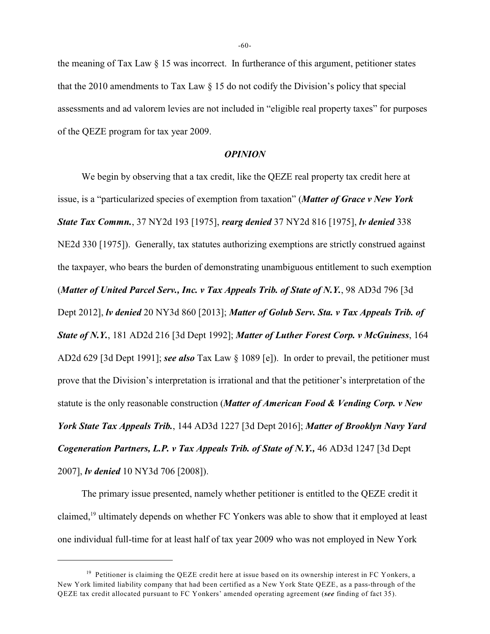the meaning of Tax Law  $\S$  15 was incorrect. In furtherance of this argument, petitioner states that the 2010 amendments to Tax Law  $\S$  15 do not codify the Division's policy that special assessments and ad valorem levies are not included in "eligible real property taxes" for purposes of the QEZE program for tax year 2009.

#### *OPINION*

We begin by observing that a tax credit, like the QEZE real property tax credit here at issue, is a "particularized species of exemption from taxation" (*Matter of Grace v New York State Tax Commn.*, 37 NY2d 193 [1975], *rearg denied* 37 NY2d 816 [1975], *lv denied* 338 NE2d 330 [1975]). Generally, tax statutes authorizing exemptions are strictly construed against the taxpayer, who bears the burden of demonstrating unambiguous entitlement to such exemption (*Matter of United Parcel Serv., Inc. v Tax Appeals Trib. of State of N.Y.*, 98 AD3d 796 [3d Dept 2012], *lv denied* 20 NY3d 860 [2013]; *Matter of Golub Serv. Sta. v Tax Appeals Trib. of State of N.Y.*, 181 AD2d 216 [3d Dept 1992]; *Matter of Luther Forest Corp. v McGuiness*, 164 AD2d 629 [3d Dept 1991]; *see also* Tax Law § 1089 [e]). In order to prevail, the petitioner must prove that the Division's interpretation is irrational and that the petitioner's interpretation of the statute is the only reasonable construction (*Matter of American Food & Vending Corp. v New York State Tax Appeals Trib.*, 144 AD3d 1227 [3d Dept 2016]; *Matter of Brooklyn Navy Yard Cogeneration Partners, L.P. v Tax Appeals Trib. of State of N.Y., 46 AD3d 1247 [3d Dept* 2007], *lv denied* 10 NY3d 706 [2008]).

The primary issue presented, namely whether petitioner is entitled to the QEZE credit it claimed,  $19$  ultimately depends on whether FC Yonkers was able to show that it employed at least one individual full-time for at least half of tax year 2009 who was not employed in New York

<sup>&</sup>lt;sup>19</sup> Petitioner is claiming the QEZE credit here at issue based on its ownership interest in FC Yonkers, a New York limited liability company that had been certified as a New York State QEZE, as a pass-through of the QEZE tax credit allocated pursuant to FC Yonkers' amended operating agreement (*see* finding of fact 35).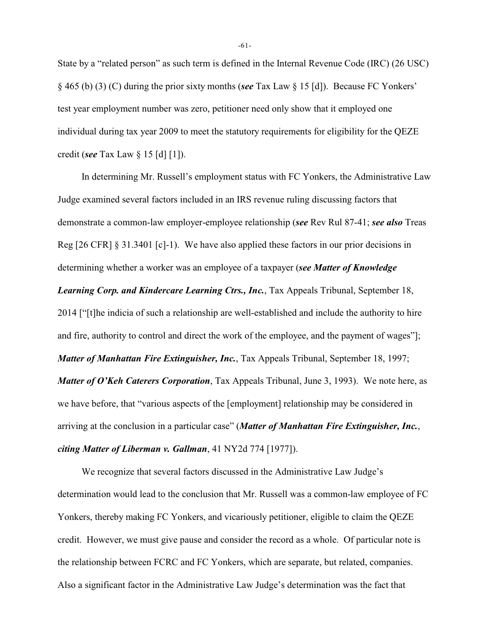State by a "related person" as such term is defined in the Internal Revenue Code (IRC) (26 USC) § 465 (b) (3) (C) during the prior sixty months (*see* Tax Law § 15 [d]). Because FC Yonkers' test year employment number was zero, petitioner need only show that it employed one individual during tax year 2009 to meet the statutory requirements for eligibility for the QEZE credit (*see* Tax Law § 15 [d] [1]).

In determining Mr. Russell's employment status with FC Yonkers, the Administrative Law Judge examined several factors included in an IRS revenue ruling discussing factors that demonstrate a common-law employer-employee relationship (*see* Rev Rul 87-41; *see also* Treas Reg [26 CFR] § 31.3401 [c]-1). We have also applied these factors in our prior decisions in determining whether a worker was an employee of a taxpayer (*see Matter of Knowledge Learning Corp. and Kindercare Learning Ctrs., Inc.*, Tax Appeals Tribunal, September 18, 2014 ["[t]he indicia of such a relationship are well-established and include the authority to hire and fire, authority to control and direct the work of the employee, and the payment of wages"]; *Matter of Manhattan Fire Extinguisher, Inc., Tax Appeals Tribunal, September 18, 1997; Matter of O'Keh Caterers Corporation*, Tax Appeals Tribunal, June 3, 1993). We note here, as we have before, that "various aspects of the [employment] relationship may be considered in arriving at the conclusion in a particular case" (*Matter of Manhattan Fire Extinguisher, Inc.*, *citing Matter of Liberman v. Gallman*, 41 NY2d 774 [1977]).

We recognize that several factors discussed in the Administrative Law Judge's determination would lead to the conclusion that Mr. Russell was a common-law employee of FC Yonkers, thereby making FC Yonkers, and vicariously petitioner, eligible to claim the QEZE credit. However, we must give pause and consider the record as a whole. Of particular note is the relationship between FCRC and FC Yonkers, which are separate, but related, companies. Also a significant factor in the Administrative Law Judge's determination was the fact that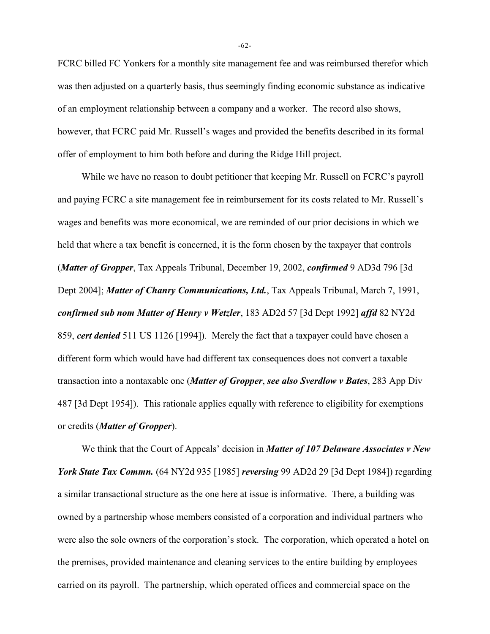FCRC billed FC Yonkers for a monthly site management fee and was reimbursed therefor which was then adjusted on a quarterly basis, thus seemingly finding economic substance as indicative of an employment relationship between a company and a worker. The record also shows, however, that FCRC paid Mr. Russell's wages and provided the benefits described in its formal offer of employment to him both before and during the Ridge Hill project.

While we have no reason to doubt petitioner that keeping Mr. Russell on FCRC's payroll and paying FCRC a site management fee in reimbursement for its costs related to Mr. Russell's wages and benefits was more economical, we are reminded of our prior decisions in which we held that where a tax benefit is concerned, it is the form chosen by the taxpayer that controls (*Matter of Gropper*, Tax Appeals Tribunal, December 19, 2002, *confirmed* 9 AD3d 796 [3d Dept 2004]; *Matter of Chanry Communications, Ltd.*, Tax Appeals Tribunal, March 7, 1991, *confirmed sub nom Matter of Henry v Wetzler*, 183 AD2d 57 [3d Dept 1992] *affd* 82 NY2d 859, *cert denied* 511 US 1126 [1994]). Merely the fact that a taxpayer could have chosen a different form which would have had different tax consequences does not convert a taxable transaction into a nontaxable one (*Matter of Gropper*, *see also Sverdlow v Bates*, 283 App Div 487 [3d Dept 1954]). This rationale applies equally with reference to eligibility for exemptions or credits (*Matter of Gropper*).

We think that the Court of Appeals' decision in *Matter of 107 Delaware Associates v New York State Tax Commn.* (64 NY2d 935 [1985] *reversing* 99 AD2d 29 [3d Dept 1984]) regarding a similar transactional structure as the one here at issue is informative. There, a building was owned by a partnership whose members consisted of a corporation and individual partners who were also the sole owners of the corporation's stock. The corporation, which operated a hotel on the premises, provided maintenance and cleaning services to the entire building by employees carried on its payroll. The partnership, which operated offices and commercial space on the

-62-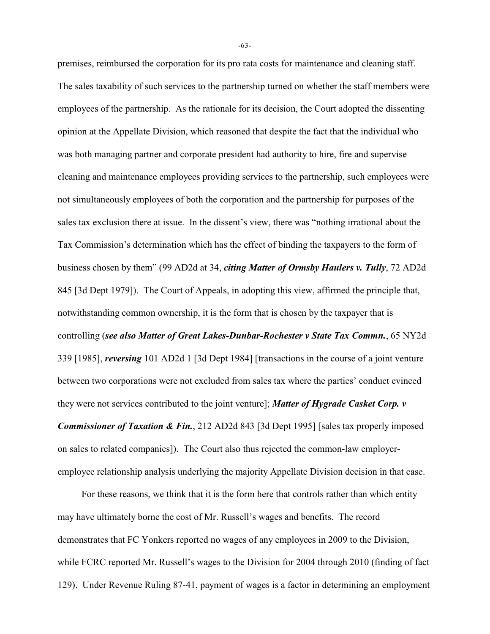premises, reimbursed the corporation for its pro rata costs for maintenance and cleaning staff. The sales taxability of such services to the partnership turned on whether the staff members were employees of the partnership. As the rationale for its decision, the Court adopted the dissenting opinion at the Appellate Division, which reasoned that despite the fact that the individual who was both managing partner and corporate president had authority to hire, fire and supervise cleaning and maintenance employees providing services to the partnership, such employees were not simultaneously employees of both the corporation and the partnership for purposes of the sales tax exclusion there at issue. In the dissent's view, there was "nothing irrational about the Tax Commission's determination which has the effect of binding the taxpayers to the form of business chosen by them" (99 AD2d at 34, *citing Matter of Ormsby Haulers v. Tully*, 72 AD2d 845 [3d Dept 1979]). The Court of Appeals, in adopting this view, affirmed the principle that, notwithstanding common ownership, it is the form that is chosen by the taxpayer that is controlling (*see also Matter of Great Lakes-Dunbar-Rochester v State Tax Commn.*, 65 NY2d 339 [1985], *reversing* 101 AD2d 1 [3d Dept 1984] [transactions in the course of a joint venture between two corporations were not excluded from sales tax where the parties' conduct evinced they were not services contributed to the joint venture]; *Matter of Hygrade Casket Corp. v Commissioner of Taxation & Fin.*, 212 AD2d 843 [3d Dept 1995] [sales tax properly imposed on sales to related companies]). The Court also thus rejected the common-law employeremployee relationship analysis underlying the majority Appellate Division decision in that case.

For these reasons, we think that it is the form here that controls rather than which entity may have ultimately borne the cost of Mr. Russell's wages and benefits. The record demonstrates that FC Yonkers reported no wages of any employees in 2009 to the Division, while FCRC reported Mr. Russell's wages to the Division for 2004 through 2010 (finding of fact 129). Under Revenue Ruling 87-41, payment of wages is a factor in determining an employment

-63-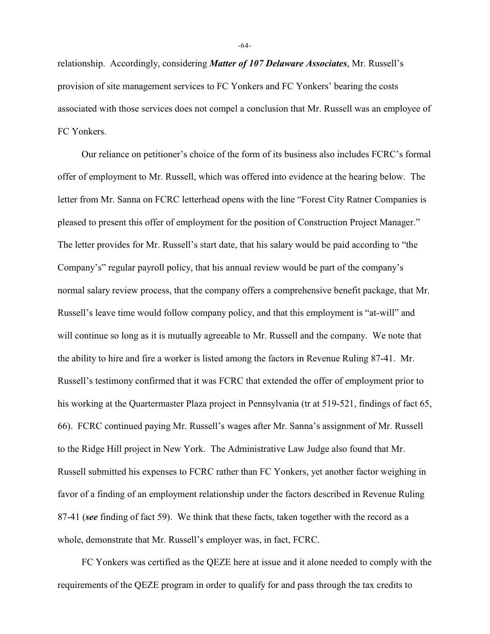relationship. Accordingly, considering *Matter of 107 Delaware Associates*, Mr. Russell's provision of site management services to FC Yonkers and FC Yonkers' bearing the costs associated with those services does not compel a conclusion that Mr. Russell was an employee of FC Yonkers.

Our reliance on petitioner's choice of the form of its business also includes FCRC's formal offer of employment to Mr. Russell, which was offered into evidence at the hearing below. The letter from Mr. Sanna on FCRC letterhead opens with the line "Forest City Ratner Companies is pleased to present this offer of employment for the position of Construction Project Manager." The letter provides for Mr. Russell's start date, that his salary would be paid according to "the Company's" regular payroll policy, that his annual review would be part of the company's normal salary review process, that the company offers a comprehensive benefit package, that Mr. Russell's leave time would follow company policy, and that this employment is "at-will" and will continue so long as it is mutually agreeable to Mr. Russell and the company. We note that the ability to hire and fire a worker is listed among the factors in Revenue Ruling 87-41. Mr. Russell's testimony confirmed that it was FCRC that extended the offer of employment prior to his working at the Quartermaster Plaza project in Pennsylvania (tr at 519-521, findings of fact 65, 66). FCRC continued paying Mr. Russell's wages after Mr. Sanna's assignment of Mr. Russell to the Ridge Hill project in New York. The Administrative Law Judge also found that Mr. Russell submitted his expenses to FCRC rather than FC Yonkers, yet another factor weighing in favor of a finding of an employment relationship under the factors described in Revenue Ruling 87-41 (*see* finding of fact 59). We think that these facts, taken together with the record as a whole, demonstrate that Mr. Russell's employer was, in fact, FCRC.

FC Yonkers was certified as the QEZE here at issue and it alone needed to comply with the requirements of the QEZE program in order to qualify for and pass through the tax credits to

-64-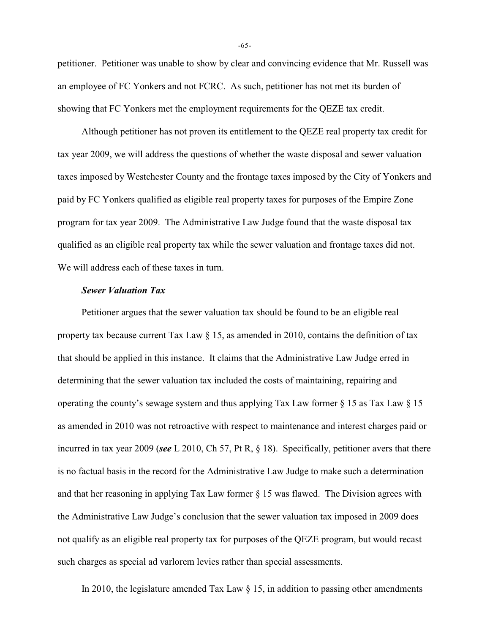petitioner. Petitioner was unable to show by clear and convincing evidence that Mr. Russell was an employee of FC Yonkers and not FCRC. As such, petitioner has not met its burden of showing that FC Yonkers met the employment requirements for the QEZE tax credit.

Although petitioner has not proven its entitlement to the QEZE real property tax credit for tax year 2009, we will address the questions of whether the waste disposal and sewer valuation taxes imposed by Westchester County and the frontage taxes imposed by the City of Yonkers and paid by FC Yonkers qualified as eligible real property taxes for purposes of the Empire Zone program for tax year 2009. The Administrative Law Judge found that the waste disposal tax qualified as an eligible real property tax while the sewer valuation and frontage taxes did not. We will address each of these taxes in turn.

## *Sewer Valuation Tax*

Petitioner argues that the sewer valuation tax should be found to be an eligible real property tax because current Tax Law  $\S$  15, as amended in 2010, contains the definition of tax that should be applied in this instance. It claims that the Administrative Law Judge erred in determining that the sewer valuation tax included the costs of maintaining, repairing and operating the county's sewage system and thus applying Tax Law former  $\S$  15 as Tax Law  $\S$  15 as amended in 2010 was not retroactive with respect to maintenance and interest charges paid or incurred in tax year 2009 (*see* L 2010, Ch 57, Pt R, § 18). Specifically, petitioner avers that there is no factual basis in the record for the Administrative Law Judge to make such a determination and that her reasoning in applying Tax Law former  $\S$  15 was flawed. The Division agrees with the Administrative Law Judge's conclusion that the sewer valuation tax imposed in 2009 does not qualify as an eligible real property tax for purposes of the QEZE program, but would recast such charges as special ad varlorem levies rather than special assessments.

In 2010, the legislature amended Tax Law  $\S$  15, in addition to passing other amendments

-65-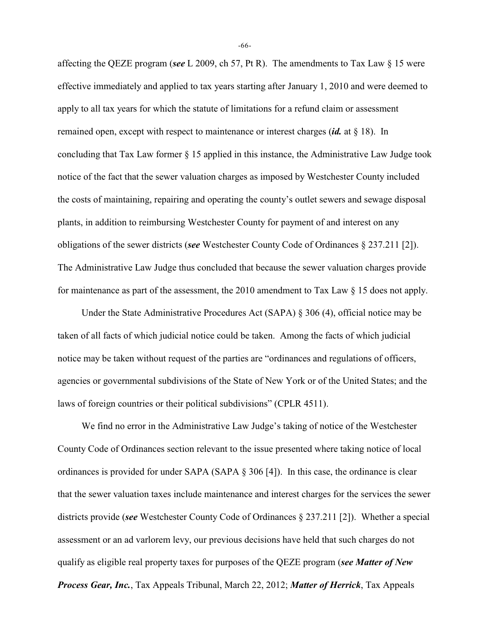affecting the QEZE program (*see* L 2009, ch 57, Pt R). The amendments to Tax Law § 15 were effective immediately and applied to tax years starting after January 1, 2010 and were deemed to apply to all tax years for which the statute of limitations for a refund claim or assessment remained open, except with respect to maintenance or interest charges (*id.* at § 18). In concluding that Tax Law former § 15 applied in this instance, the Administrative Law Judge took notice of the fact that the sewer valuation charges as imposed by Westchester County included the costs of maintaining, repairing and operating the county's outlet sewers and sewage disposal plants, in addition to reimbursing Westchester County for payment of and interest on any obligations of the sewer districts (*see* Westchester County Code of Ordinances § 237.211 [2]). The Administrative Law Judge thus concluded that because the sewer valuation charges provide for maintenance as part of the assessment, the 2010 amendment to Tax Law § 15 does not apply.

Under the State Administrative Procedures Act (SAPA) § 306 (4), official notice may be taken of all facts of which judicial notice could be taken. Among the facts of which judicial notice may be taken without request of the parties are "ordinances and regulations of officers, agencies or governmental subdivisions of the State of New York or of the United States; and the laws of foreign countries or their political subdivisions" (CPLR 4511).

We find no error in the Administrative Law Judge's taking of notice of the Westchester County Code of Ordinances section relevant to the issue presented where taking notice of local ordinances is provided for under SAPA (SAPA § 306 [4]). In this case, the ordinance is clear that the sewer valuation taxes include maintenance and interest charges for the services the sewer districts provide (*see* Westchester County Code of Ordinances § 237.211 [2]). Whether a special assessment or an ad varlorem levy, our previous decisions have held that such charges do not qualify as eligible real property taxes for purposes of the QEZE program (*see Matter of New Process Gear, Inc.*, Tax Appeals Tribunal, March 22, 2012; *Matter of Herrick*, Tax Appeals

-66-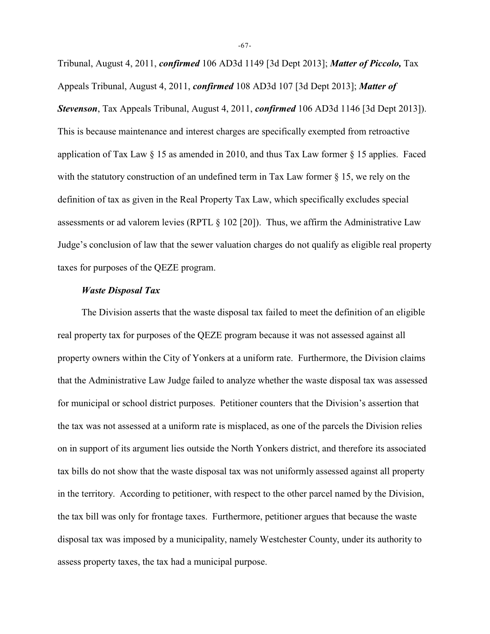Tribunal, August 4, 2011, *confirmed* 106 AD3d 1149 [3d Dept 2013]; *Matter of Piccolo,* Tax Appeals Tribunal, August 4, 2011, *confirmed* 108 AD3d 107 [3d Dept 2013]; *Matter of Stevenson*, Tax Appeals Tribunal, August 4, 2011, *confirmed* 106 AD3d 1146 [3d Dept 2013]). This is because maintenance and interest charges are specifically exempted from retroactive application of Tax Law  $\S$  15 as amended in 2010, and thus Tax Law former  $\S$  15 applies. Faced with the statutory construction of an undefined term in Tax Law former § 15, we rely on the definition of tax as given in the Real Property Tax Law, which specifically excludes special assessments or ad valorem levies (RPTL § 102 [20]). Thus, we affirm the Administrative Law Judge's conclusion of law that the sewer valuation charges do not qualify as eligible real property taxes for purposes of the QEZE program.

# *Waste Disposal Tax*

The Division asserts that the waste disposal tax failed to meet the definition of an eligible real property tax for purposes of the QEZE program because it was not assessed against all property owners within the City of Yonkers at a uniform rate. Furthermore, the Division claims that the Administrative Law Judge failed to analyze whether the waste disposal tax was assessed for municipal or school district purposes. Petitioner counters that the Division's assertion that the tax was not assessed at a uniform rate is misplaced, as one of the parcels the Division relies on in support of its argument lies outside the North Yonkers district, and therefore its associated tax bills do not show that the waste disposal tax was not uniformly assessed against all property in the territory. According to petitioner, with respect to the other parcel named by the Division, the tax bill was only for frontage taxes. Furthermore, petitioner argues that because the waste disposal tax was imposed by a municipality, namely Westchester County, under its authority to assess property taxes, the tax had a municipal purpose.

-67-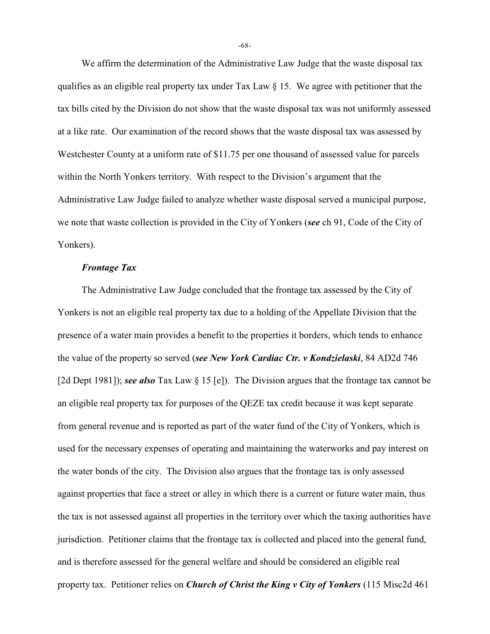We affirm the determination of the Administrative Law Judge that the waste disposal tax qualifies as an eligible real property tax under Tax Law § 15. We agree with petitioner that the tax bills cited by the Division do not show that the waste disposal tax was not uniformly assessed at a like rate. Our examination of the record shows that the waste disposal tax was assessed by Westchester County at a uniform rate of \$11.75 per one thousand of assessed value for parcels within the North Yonkers territory. With respect to the Division's argument that the Administrative Law Judge failed to analyze whether waste disposal served a municipal purpose, we note that waste collection is provided in the City of Yonkers (*see* ch 91, Code of the City of Yonkers).

#### *Frontage Tax*

The Administrative Law Judge concluded that the frontage tax assessed by the City of Yonkers is not an eligible real property tax due to a holding of the Appellate Division that the presence of a water main provides a benefit to the properties it borders, which tends to enhance the value of the property so served (*see New York Cardiac Ctr. v Kondzielaski*, 84 AD2d 746 [2d Dept 1981]); *see also* Tax Law § 15 [e]). The Division argues that the frontage tax cannot be an eligible real property tax for purposes of the QEZE tax credit because it was kept separate from general revenue and is reported as part of the water fund of the City of Yonkers, which is used for the necessary expenses of operating and maintaining the waterworks and pay interest on the water bonds of the city. The Division also argues that the frontage tax is only assessed against properties that face a street or alley in which there is a current or future water main, thus the tax is not assessed against all properties in the territory over which the taxing authorities have jurisdiction. Petitioner claims that the frontage tax is collected and placed into the general fund, and is therefore assessed for the general welfare and should be considered an eligible real property tax. Petitioner relies on *Church of Christ the King v City of Yonkers* (115 Misc2d 461

-68-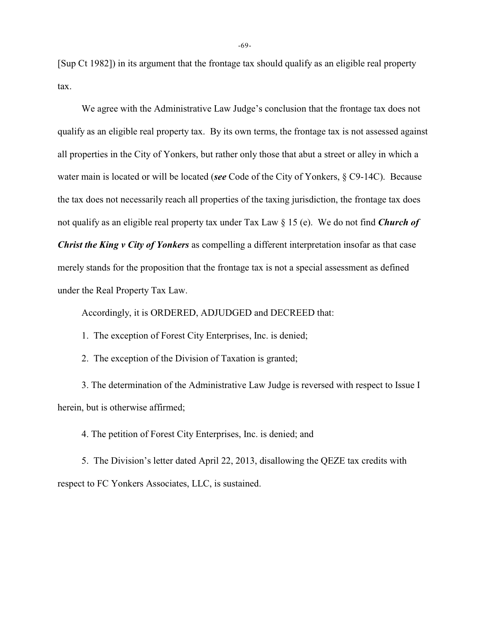[Sup Ct 1982]) in its argument that the frontage tax should qualify as an eligible real property tax.

We agree with the Administrative Law Judge's conclusion that the frontage tax does not qualify as an eligible real property tax. By its own terms, the frontage tax is not assessed against all properties in the City of Yonkers, but rather only those that abut a street or alley in which a water main is located or will be located (*see* Code of the City of Yonkers, § C9-14C). Because the tax does not necessarily reach all properties of the taxing jurisdiction, the frontage tax does not qualify as an eligible real property tax under Tax Law § 15 (e). We do not find *Church of Christ the King v City of Yonkers* as compelling a different interpretation insofar as that case merely stands for the proposition that the frontage tax is not a special assessment as defined under the Real Property Tax Law.

Accordingly, it is ORDERED, ADJUDGED and DECREED that:

1. The exception of Forest City Enterprises, Inc. is denied;

2. The exception of the Division of Taxation is granted;

3. The determination of the Administrative Law Judge is reversed with respect to Issue I herein, but is otherwise affirmed;

4. The petition of Forest City Enterprises, Inc. is denied; and

 5. The Division's letter dated April 22, 2013, disallowing the QEZE tax credits with respect to FC Yonkers Associates, LLC, is sustained.